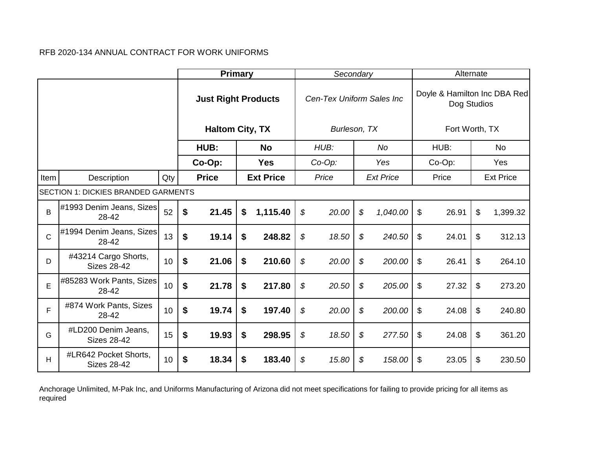|              |                                             |     | <b>Primary</b>             |                  | Secondary                 |                  | Alternate                                   |                  |
|--------------|---------------------------------------------|-----|----------------------------|------------------|---------------------------|------------------|---------------------------------------------|------------------|
|              |                                             |     | <b>Just Right Products</b> |                  | Cen-Tex Uniform Sales Inc |                  | Doyle & Hamilton Inc DBA Red<br>Dog Studios |                  |
|              |                                             |     | <b>Haltom City, TX</b>     |                  | Burleson, TX              |                  | Fort Worth, TX                              |                  |
|              |                                             |     | HUB:                       | <b>No</b>        | HUB:                      | No               | HUB:                                        | No.              |
|              |                                             |     | Co-Op:                     | <b>Yes</b>       | $Co-Op$ :                 | Yes              | Co-Op:                                      | Yes              |
| Item         | Description                                 | Qty | <b>Price</b>               | <b>Ext Price</b> | Price                     | <b>Ext Price</b> | Price                                       | <b>Ext Price</b> |
|              | <b>SECTION 1: DICKIES BRANDED GARMENTS</b>  |     |                            |                  |                           |                  |                                             |                  |
| B            | #1993 Denim Jeans, Sizes<br>28-42           | 52  | \$<br>21.45                | \$<br>1,115.40   | \$<br>20.00               | \$<br>1,040.00   | \$<br>26.91                                 | \$<br>1,399.32   |
| $\mathsf{C}$ | #1994 Denim Jeans, Sizes<br>28-42           | 13  | \$<br>19.14                | \$<br>248.82     | \$<br>18.50               | \$<br>240.50     | \$<br>24.01                                 | \$<br>312.13     |
| D            | #43214 Cargo Shorts,<br><b>Sizes 28-42</b>  | 10  | \$<br>21.06                | \$<br>210.60     | \$<br>20.00               | \$<br>200.00     | \$<br>26.41                                 | \$<br>264.10     |
| E            | #85283 Work Pants, Sizes<br>28-42           | 10  | \$<br>21.78                | \$<br>217.80     | \$<br>20.50               | \$<br>205.00     | \$<br>27.32                                 | \$<br>273.20     |
| F            | #874 Work Pants, Sizes<br>28-42             | 10  | \$<br>19.74                | \$<br>197.40     | \$<br>20.00               | \$<br>200.00     | \$<br>24.08                                 | \$<br>240.80     |
| G            | #LD200 Denim Jeans,<br><b>Sizes 28-42</b>   | 15  | \$<br>19.93                | \$<br>298.95     | \$<br>18.50               | \$<br>277.50     | \$<br>24.08                                 | \$<br>361.20     |
| Н            | #LR642 Pocket Shorts,<br><b>Sizes 28-42</b> | 10  | \$<br>18.34                | \$<br>183.40     | \$<br>15.80               | \$<br>158.00     | \$<br>23.05                                 | \$<br>230.50     |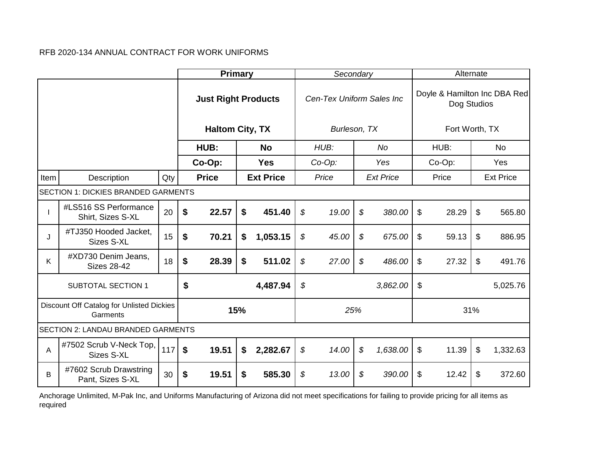|      |                                                       |     | Primary                    |     |                  | Secondary                 |                            |                  |                           | Alternate      |                              |
|------|-------------------------------------------------------|-----|----------------------------|-----|------------------|---------------------------|----------------------------|------------------|---------------------------|----------------|------------------------------|
|      |                                                       |     | <b>Just Right Products</b> |     |                  | Cen-Tex Uniform Sales Inc |                            |                  |                           | Dog Studios    | Doyle & Hamilton Inc DBA Red |
|      |                                                       |     | <b>Haltom City, TX</b>     |     |                  | Burleson, TX              |                            |                  |                           | Fort Worth, TX |                              |
|      |                                                       |     | HUB:                       |     | <b>No</b>        | HUB:                      |                            | No               |                           | HUB:           | No                           |
|      |                                                       |     | Co-Op:                     |     | <b>Yes</b>       | $Co-Op$ :                 |                            | Yes              |                           | $Co-Op$ :      | Yes                          |
| Item | Description                                           | Qty | <b>Price</b>               |     | <b>Ext Price</b> | Price                     |                            | <b>Ext Price</b> |                           | Price          | <b>Ext Price</b>             |
|      | <b>SECTION 1: DICKIES BRANDED GARMENTS</b>            |     |                            |     |                  |                           |                            |                  |                           |                |                              |
|      | #LS516 SS Performance<br>Shirt, Sizes S-XL            | 20  | \$<br>22.57                | \$  | 451.40           | \$<br>19.00               | $\boldsymbol{\mathcal{S}}$ | 380.00           | \$                        | 28.29          | \$<br>565.80                 |
| J    | #TJ350 Hooded Jacket,<br>Sizes S-XL                   | 15  | \$<br>70.21                | \$  | 1,053.15         | \$<br>45.00               | \$                         | 675.00           | \$                        | 59.13          | \$<br>886.95                 |
| K    | #XD730 Denim Jeans,<br><b>Sizes 28-42</b>             | 18  | \$<br>28.39                | \$  | 511.02           | \$<br>27.00               | \$                         | 486.00           | \$                        | 27.32          | \$<br>491.76                 |
|      | <b>SUBTOTAL SECTION 1</b>                             |     | \$                         |     | 4,487.94         | \$                        |                            | 3,862.00         | $\boldsymbol{\mathsf{S}}$ |                | 5,025.76                     |
|      | Discount Off Catalog for Unlisted Dickies<br>Garments |     |                            | 15% |                  | 25%                       |                            |                  |                           | 31%            |                              |
|      | <b>SECTION 2: LANDAU BRANDED GARMENTS</b>             |     |                            |     |                  |                           |                            |                  |                           |                |                              |
| A    | #7502 Scrub V-Neck Top,<br>Sizes S-XL                 | 117 | \$<br>19.51                | \$  | 2,282.67         | \$<br>14.00               | \$                         | 1,638.00         | \$                        | 11.39          | \$<br>1,332.63               |
| B    | #7602 Scrub Drawstring<br>Pant, Sizes S-XL            | 30  | \$<br>19.51                | \$  | 585.30           | \$<br>13.00               | \$                         | 390.00           | \$                        | 12.42          | \$<br>372.60                 |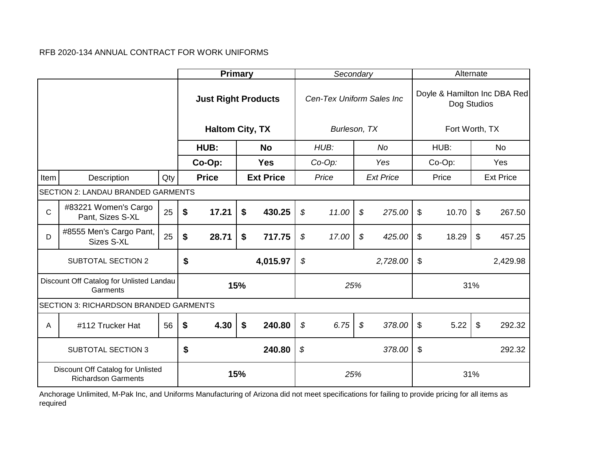|             |                                                                 |     |                                                                                                                                          | <b>Primary</b>             |     |                  |    | Secondary                 |                            |                  | Alternate      |    |                              |
|-------------|-----------------------------------------------------------------|-----|------------------------------------------------------------------------------------------------------------------------------------------|----------------------------|-----|------------------|----|---------------------------|----------------------------|------------------|----------------|----|------------------------------|
|             |                                                                 |     |                                                                                                                                          | <b>Just Right Products</b> |     |                  |    | Cen-Tex Uniform Sales Inc |                            |                  | Dog Studios    |    | Doyle & Hamilton Inc DBA Red |
|             |                                                                 |     |                                                                                                                                          | <b>Haltom City, TX</b>     |     |                  |    | Burleson, TX              |                            |                  | Fort Worth, TX |    |                              |
|             |                                                                 |     |                                                                                                                                          | HUB:                       |     | <b>No</b>        |    | HUB:                      |                            | No               | HUB:           |    | No                           |
|             |                                                                 |     |                                                                                                                                          | Co-Op:                     |     | <b>Yes</b>       |    | $Co-Op$ :                 |                            | Yes              | Co-Op:         |    | Yes                          |
| Item        | Description                                                     | Qty |                                                                                                                                          | <b>Price</b>               |     | <b>Ext Price</b> |    | Price                     |                            | <b>Ext Price</b> | Price          |    | <b>Ext Price</b>             |
|             | <b>SECTION 2: LANDAU BRANDED GARMENTS</b>                       |     |                                                                                                                                          |                            |     |                  |    |                           |                            |                  |                |    |                              |
| $\mathbf C$ | #83221 Women's Cargo<br>Pant, Sizes S-XL                        | 25  | \$<br>11.00<br>$\boldsymbol{\mathcal{S}}$<br>$\sqrt[6]{\frac{1}{2}}$<br>\$<br>17.21<br>\$<br>430.25<br>275.00<br>10.70<br>$\mathfrak{S}$ |                            |     |                  |    |                           |                            |                  | 267.50         |    |                              |
| D           | #8555 Men's Cargo Pant,<br>Sizes S-XL                           | 25  | \$                                                                                                                                       | 28.71                      | \$  | 717.75           | \$ | 17.00                     | \$                         | 425.00           | \$<br>18.29    | \$ | 457.25                       |
|             | <b>SUBTOTAL SECTION 2</b>                                       |     | \$                                                                                                                                       |                            |     | 4,015.97         | \$ |                           |                            | 2,728.00         | \$             |    | 2,429.98                     |
|             | Discount Off Catalog for Unlisted Landau<br>Garments            |     |                                                                                                                                          |                            | 15% |                  |    | 25%                       |                            |                  | 31%            |    |                              |
|             | SECTION 3: RICHARDSON BRANDED GARMENTS                          |     |                                                                                                                                          |                            |     |                  |    |                           |                            |                  |                |    |                              |
| Α           | #112 Trucker Hat                                                | 56  | \$                                                                                                                                       | 4.30                       | \$  | 240.80           | \$ | 6.75                      | $\boldsymbol{\mathcal{S}}$ | 378.00           | \$<br>5.22     | \$ | 292.32                       |
|             | <b>SUBTOTAL SECTION 3</b>                                       |     | \$                                                                                                                                       |                            |     | 240.80           | \$ |                           |                            | 378.00           | \$             |    | 292.32                       |
|             | Discount Off Catalog for Unlisted<br><b>Richardson Garments</b> |     |                                                                                                                                          |                            | 15% |                  |    | 25%                       |                            |                  | 31%            |    |                              |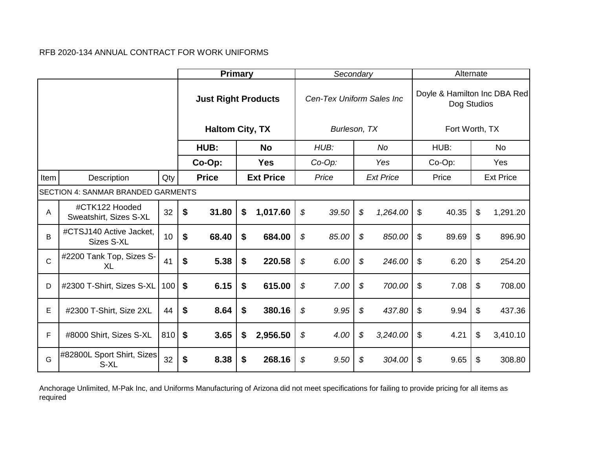|              |                                           |     | <b>Primary</b>             |                  | Secondary                 |                            |                  | Alternate                                   |                  |
|--------------|-------------------------------------------|-----|----------------------------|------------------|---------------------------|----------------------------|------------------|---------------------------------------------|------------------|
|              |                                           |     | <b>Just Right Products</b> |                  | Cen-Tex Uniform Sales Inc |                            |                  | Doyle & Hamilton Inc DBA Red<br>Dog Studios |                  |
|              |                                           |     | <b>Haltom City, TX</b>     |                  | Burleson, TX              |                            |                  | Fort Worth, TX                              |                  |
|              |                                           |     | HUB:                       | <b>No</b>        | HUB:                      |                            | No               | HUB:                                        | No               |
|              |                                           |     | Co-Op:                     | <b>Yes</b>       | $Co-Op$ :                 |                            | Yes              | Co-Op:                                      | Yes              |
| Item         | Description                               | Qty | <b>Price</b>               | <b>Ext Price</b> | Price                     |                            | <b>Ext Price</b> | Price                                       | <b>Ext Price</b> |
|              | <b>SECTION 4: SANMAR BRANDED GARMENTS</b> |     |                            |                  |                           |                            |                  |                                             |                  |
| Α            | #CTK122 Hooded<br>Sweatshirt, Sizes S-XL  | 32  | \$<br>31.80                | \$<br>1,017.60   | \$<br>39.50               | \$                         | 1,264.00         | \$<br>40.35                                 | \$<br>1,291.20   |
| B            | #CTSJ140 Active Jacket,<br>Sizes S-XL     | 10  | \$<br>68.40                | \$<br>684.00     | \$<br>85.00               | \$                         | 850.00           | \$<br>89.69                                 | \$<br>896.90     |
| $\mathsf{C}$ | #2200 Tank Top, Sizes S-<br><b>XL</b>     | 41  | \$<br>5.38                 | \$<br>220.58     | \$<br>6.00                | \$                         | 246.00           | \$<br>6.20                                  | \$<br>254.20     |
| D            | #2300 T-Shirt, Sizes S-XL                 | 100 | \$<br>6.15                 | \$<br>615.00     | \$<br>7.00                | $\boldsymbol{\mathcal{S}}$ | 700.00           | \$<br>7.08                                  | \$<br>708.00     |
| E            | #2300 T-Shirt, Size 2XL                   | 44  | \$<br>8.64                 | \$<br>380.16     | \$<br>9.95                | \$                         | 437.80           | \$<br>9.94                                  | \$<br>437.36     |
| F            | #8000 Shirt, Sizes S-XL                   | 810 | \$<br>3.65                 | \$<br>2,956.50   | \$<br>4.00                | \$                         | 3,240.00         | \$<br>4.21                                  | \$<br>3,410.10   |
| G            | #82800L Sport Shirt, Sizes<br>S-XL        | 32  | \$<br>8.38                 | \$<br>268.16     | \$<br>9.50                | \$                         | 304.00           | \$<br>9.65                                  | \$<br>308.80     |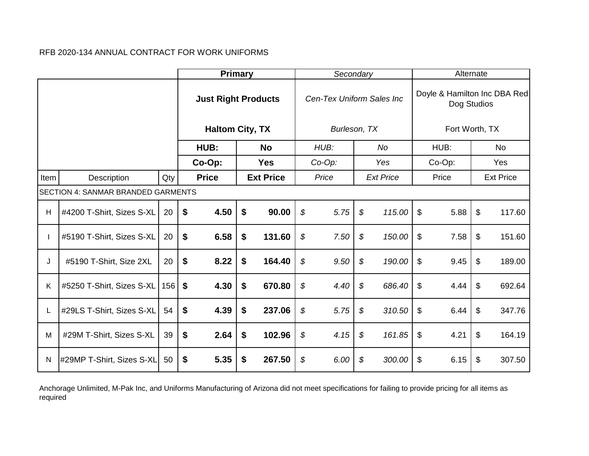|      |                                           |     | <b>Primary</b>             |    |                  | Secondary                 |                            |                  |                           | Alternate                                   |                  |
|------|-------------------------------------------|-----|----------------------------|----|------------------|---------------------------|----------------------------|------------------|---------------------------|---------------------------------------------|------------------|
|      |                                           |     | <b>Just Right Products</b> |    |                  | Cen-Tex Uniform Sales Inc |                            |                  |                           | Doyle & Hamilton Inc DBA Red<br>Dog Studios |                  |
|      |                                           |     | <b>Haltom City, TX</b>     |    |                  | Burleson, TX              |                            |                  |                           | Fort Worth, TX                              |                  |
|      |                                           |     | HUB:                       |    | <b>No</b>        | HUB:                      |                            | No               |                           | HUB:                                        | No.              |
|      |                                           |     | Co-Op:                     |    | <b>Yes</b>       | $Co-Op$ :                 |                            | Yes              |                           | Co-Op:                                      | Yes              |
| Item | Description                               | Qty | <b>Price</b>               |    | <b>Ext Price</b> | Price                     |                            | <b>Ext Price</b> |                           | Price                                       | <b>Ext Price</b> |
|      | <b>SECTION 4: SANMAR BRANDED GARMENTS</b> |     | \$                         |    |                  |                           |                            |                  |                           |                                             |                  |
| н    | #4200 T-Shirt, Sizes S-XL                 | 20  | \$<br>4.50                 |    | 90.00            | \$<br>5.75                | $\mathcal{L}$              | 115.00           | \$                        | 5.88                                        | \$<br>117.60     |
|      | #5190 T-Shirt, Sizes S-XL                 | 20  | \$<br>6.58                 | \$ | 131.60           | \$<br>7.50                | $\boldsymbol{\mathcal{S}}$ | 150.00           | \$                        | 7.58                                        | \$<br>151.60     |
| J    | #5190 T-Shirt, Size 2XL                   | 20  | \$<br>8.22                 | \$ | 164.40           | \$<br>9.50                | $\boldsymbol{\mathcal{S}}$ | 190.00           | \$                        | 9.45                                        | \$<br>189.00     |
| K    | #5250 T-Shirt, Sizes S-XL                 | 156 | \$<br>4.30                 | \$ | 670.80           | \$<br>4.40                | $\boldsymbol{\mathcal{S}}$ | 686.40           | $\mathfrak{P}$            | 4.44                                        | \$<br>692.64     |
| L    | #29LS T-Shirt, Sizes S-XL                 | 54  | \$<br>4.39                 | \$ | 237.06           | \$<br>5.75                | \$                         | 310.50           | $\frac{1}{2}$             | 6.44                                        | \$<br>347.76     |
| M    | #29M T-Shirt, Sizes S-XL                  | 39  | \$<br>2.64                 | \$ | 102.96           | \$<br>4.15                | \$                         | 161.85           | $\boldsymbol{\mathsf{S}}$ | 4.21                                        | \$<br>164.19     |
| N    | #29MP T-Shirt, Sizes S-XL                 | 50  | \$<br>5.35                 | \$ | 267.50           | \$<br>6.00                | \$                         | 300.00           | \$                        | 6.15                                        | \$<br>307.50     |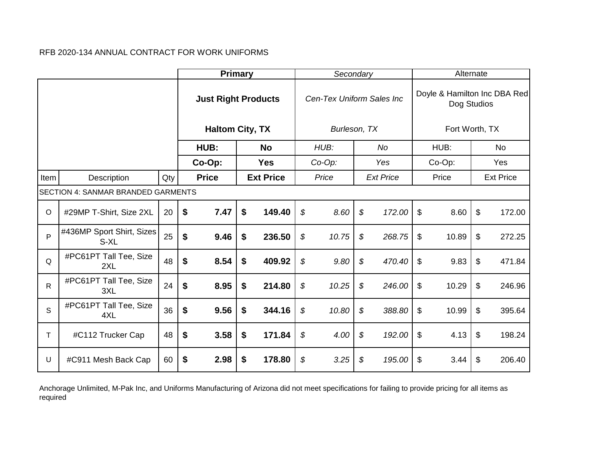|              |                                           |     | <b>Primary</b>             |    |            | Secondary                 |                  |                           | Alternate                                   |                  |
|--------------|-------------------------------------------|-----|----------------------------|----|------------|---------------------------|------------------|---------------------------|---------------------------------------------|------------------|
|              |                                           |     | <b>Just Right Products</b> |    |            | Cen-Tex Uniform Sales Inc |                  |                           | Doyle & Hamilton Inc DBA Red<br>Dog Studios |                  |
|              |                                           |     | <b>Haltom City, TX</b>     |    |            | Burleson, TX              |                  |                           | Fort Worth, TX                              |                  |
|              |                                           |     | HUB:                       |    | <b>No</b>  | HUB:                      | No               |                           | HUB:                                        | <b>No</b>        |
|              |                                           |     | Co-Op:                     |    | <b>Yes</b> | Co-Op:                    | Yes              |                           | Co-Op:                                      | Yes              |
| Item         | Description                               | Qty | <b>Price</b>               |    |            | Price                     | <b>Ext Price</b> |                           | Price                                       | <b>Ext Price</b> |
|              | <b>SECTION 4: SANMAR BRANDED GARMENTS</b> |     | <b>Ext Price</b>           |    |            |                           |                  |                           |                                             |                  |
| $\circ$      | #29MP T-Shirt, Size 2XL                   | 20  | \$<br>7.47                 | \$ | 149.40     | \$<br>8.60                | \$<br>172.00     | \$                        | 8.60                                        | \$<br>172.00     |
| P            | #436MP Sport Shirt, Sizes<br>S-XL         | 25  | \$<br>9.46                 | \$ | 236.50     | \$<br>10.75               | \$<br>268.75     | \$                        | 10.89                                       | \$<br>272.25     |
| Q            | #PC61PT Tall Tee, Size<br>2XL             | 48  | \$<br>8.54                 | \$ | 409.92     | \$<br>9.80                | \$<br>470.40     | \$                        | 9.83                                        | \$<br>471.84     |
| $\mathsf{R}$ | #PC61PT Tall Tee, Size<br>3XL             | 24  | \$<br>8.95                 | \$ | 214.80     | \$<br>10.25               | \$<br>246.00     | \$                        | 10.29                                       | \$<br>246.96     |
| S            | #PC61PT Tall Tee, Size<br>4XL             | 36  | \$<br>9.56                 | \$ | 344.16     | \$<br>10.80               | \$<br>388.80     | \$                        | 10.99                                       | \$<br>395.64     |
| $\top$       | #C112 Trucker Cap                         | 48  | \$<br>3.58                 | \$ | 171.84     | \$<br>4.00                | \$<br>192.00     | $\boldsymbol{\mathsf{S}}$ | 4.13                                        | \$<br>198.24     |
| U            | #C911 Mesh Back Cap                       | 60  | \$<br>2.98                 | \$ | 178.80     | \$<br>3.25                | \$<br>195.00     | \$                        | 3.44                                        | \$<br>206.40     |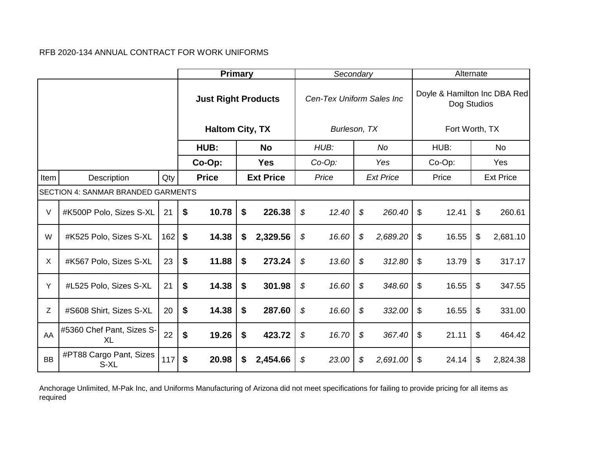|           |                                           |     | <b>Primary</b>             |                  | Secondary                 |                            |                  | Alternate                                   |                  |
|-----------|-------------------------------------------|-----|----------------------------|------------------|---------------------------|----------------------------|------------------|---------------------------------------------|------------------|
|           |                                           |     | <b>Just Right Products</b> |                  | Cen-Tex Uniform Sales Inc |                            |                  | Doyle & Hamilton Inc DBA Red<br>Dog Studios |                  |
|           |                                           |     | <b>Haltom City, TX</b>     |                  | Burleson, TX              |                            |                  | Fort Worth, TX                              |                  |
|           |                                           |     | HUB:                       | <b>No</b>        | HUB:                      |                            | No               | HUB:                                        | No.              |
|           |                                           |     | Co-Op:                     | <b>Yes</b>       | $Co-Op$ :                 |                            | Yes              | Co-Op:                                      | Yes              |
| Item      | Description                               | Qty | <b>Price</b>               | <b>Ext Price</b> | Price                     |                            | <b>Ext Price</b> | Price                                       | <b>Ext Price</b> |
|           | <b>SECTION 4: SANMAR BRANDED GARMENTS</b> |     |                            |                  |                           |                            |                  |                                             |                  |
| V         | #K500P Polo, Sizes S-XL                   | 21  | \$<br>10.78                | \$<br>226.38     | \$<br>12.40               | \$                         | 260.40           | \$<br>12.41                                 | \$<br>260.61     |
| W         | #K525 Polo, Sizes S-XL                    | 162 | \$<br>14.38                | \$<br>2,329.56   | \$<br>16.60               | \$                         | 2,689.20         | \$<br>16.55                                 | \$<br>2,681.10   |
| X         | #K567 Polo, Sizes S-XL                    | 23  | \$<br>11.88                | \$<br>273.24     | \$<br>13.60               | \$                         | 312.80           | \$<br>13.79                                 | \$<br>317.17     |
| Y         | #L525 Polo, Sizes S-XL                    | 21  | \$<br>14.38                | \$<br>301.98     | \$<br>16.60               | $\boldsymbol{\mathcal{S}}$ | 348.60           | \$<br>16.55                                 | \$<br>347.55     |
| Z         | #S608 Shirt, Sizes S-XL                   | 20  | \$<br>14.38                | \$<br>287.60     | \$<br>16.60               | \$                         | 332.00           | \$<br>16.55                                 | \$<br>331.00     |
| AA        | #5360 Chef Pant, Sizes S-<br><b>XL</b>    | 22  | \$<br>19.26                | \$<br>423.72     | \$<br>16.70               | \$                         | 367.40           | \$<br>21.11                                 | \$<br>464.42     |
| <b>BB</b> | #PT88 Cargo Pant, Sizes<br>S-XL           | 117 | \$<br>20.98                | \$<br>2,454.66   | \$<br>23.00               | \$                         | 2,691.00         | \$<br>24.14                                 | \$<br>2,824.38   |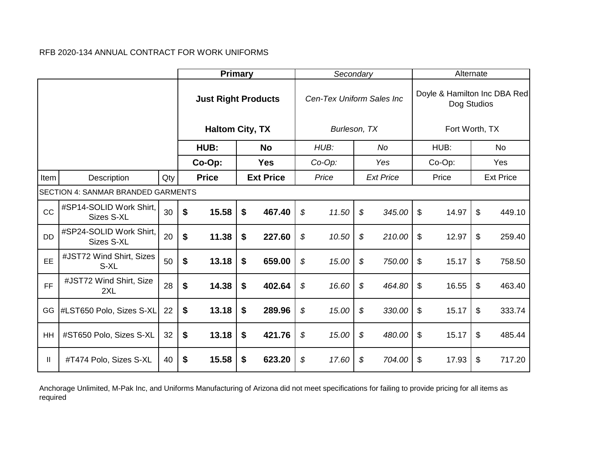|           |                                           |     |                            | <b>Primary</b> |                  | Secondary                 |                  | Alternate                                   |                  |
|-----------|-------------------------------------------|-----|----------------------------|----------------|------------------|---------------------------|------------------|---------------------------------------------|------------------|
|           |                                           |     | <b>Just Right Products</b> |                |                  | Cen-Tex Uniform Sales Inc |                  | Doyle & Hamilton Inc DBA Red<br>Dog Studios |                  |
|           |                                           |     | <b>Haltom City, TX</b>     |                |                  | Burleson, TX              |                  | Fort Worth, TX                              |                  |
|           |                                           |     | HUB:                       |                | <b>No</b>        | HUB:                      | <b>No</b>        | HUB:                                        | <b>No</b>        |
|           |                                           |     | Co-Op:                     |                | <b>Yes</b>       | Co-Op:                    | Yes              | Co-Op:                                      | Yes              |
| Item      | Description                               | Qty | <b>Price</b>               |                | <b>Ext Price</b> | Price                     | <b>Ext Price</b> | Price                                       | <b>Ext Price</b> |
|           | <b>SECTION 4: SANMAR BRANDED GARMENTS</b> |     |                            |                |                  |                           |                  |                                             |                  |
| CC        | #SP14-SOLID Work Shirt,<br>Sizes S-XL     | 30  | \$<br>15.58                | \$             | 467.40           | \$<br>11.50               | \$<br>345.00     | \$<br>14.97                                 | \$<br>449.10     |
| <b>DD</b> | #SP24-SOLID Work Shirt,<br>Sizes S-XL     | 20  | \$<br>11.38                | \$             | 227.60           | \$<br>10.50               | \$<br>210.00     | \$<br>12.97                                 | \$<br>259.40     |
| EE        | #JST72 Wind Shirt, Sizes<br>S-XL          | 50  | \$<br>13.18                | \$             | 659.00           | \$<br>15.00               | \$<br>750.00     | \$<br>15.17                                 | \$<br>758.50     |
| <b>FF</b> | #JST72 Wind Shirt, Size<br>2XL            | 28  | \$<br>14.38                | \$             | 402.64           | \$<br>16.60               | \$<br>464.80     | \$<br>16.55                                 | \$<br>463.40     |
| GG        | #LST650 Polo, Sizes S-XL                  | 22  | \$<br>13.18                | \$             | 289.96           | \$<br>15.00               | \$<br>330.00     | \$<br>15.17                                 | \$<br>333.74     |
| HH        | #ST650 Polo, Sizes S-XL                   | 32  | \$<br>13.18                | \$             | 421.76           | \$<br>15.00               | \$<br>480.00     | \$<br>15.17                                 | \$<br>485.44     |
| Ш.        | #T474 Polo, Sizes S-XL                    | 40  | \$<br>15.58                | \$             | 623.20           | \$<br>17.60               | \$<br>704.00     | \$<br>17.93                                 | \$<br>717.20     |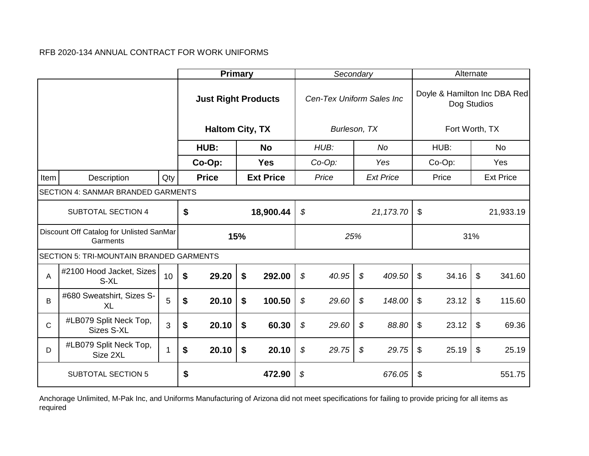|              |                                                      |     | <b>Primary</b>             |     |                  | Secondary                 |                            |                  |                           | Alternate      |                           |                              |
|--------------|------------------------------------------------------|-----|----------------------------|-----|------------------|---------------------------|----------------------------|------------------|---------------------------|----------------|---------------------------|------------------------------|
|              |                                                      |     | <b>Just Right Products</b> |     |                  | Cen-Tex Uniform Sales Inc |                            |                  |                           | Dog Studios    |                           | Doyle & Hamilton Inc DBA Red |
|              |                                                      |     | <b>Haltom City, TX</b>     |     |                  | Burleson, TX              |                            |                  |                           | Fort Worth, TX |                           |                              |
|              |                                                      |     | HUB:                       |     | <b>No</b>        | HUB:                      |                            | <b>No</b>        |                           | HUB:           |                           | <b>No</b>                    |
|              |                                                      |     | Co-Op:                     |     | <b>Yes</b>       | $Co-Op$ :                 |                            | Yes              |                           | Co-Op:         |                           | Yes                          |
| Item         | Description                                          | Qty | <b>Price</b>               |     | <b>Ext Price</b> | Price                     |                            | <b>Ext Price</b> |                           | Price          |                           | <b>Ext Price</b>             |
|              | SECTION 4: SANMAR BRANDED GARMENTS                   |     |                            |     |                  |                           |                            |                  |                           |                |                           |                              |
|              | <b>SUBTOTAL SECTION 4</b>                            |     | \$                         |     | 18,900.44        | \$                        |                            | 21,173.70        | $\$\$                     |                |                           | 21,933.19                    |
|              | Discount Off Catalog for Unlisted SanMar<br>Garments |     |                            | 15% |                  | 25%                       |                            |                  |                           | 31%            |                           |                              |
|              | SECTION 5: TRI-MOUNTAIN BRANDED GARMENTS             |     |                            |     |                  |                           |                            |                  |                           |                |                           |                              |
| A            | #2100 Hood Jacket, Sizes<br>S-XL                     | 10  | \$<br>29.20                | \$  | 292.00           | \$<br>40.95               | $\boldsymbol{\mathcal{S}}$ | 409.50           | \$                        | 34.16          | $\boldsymbol{\mathsf{S}}$ | 341.60                       |
| B            | #680 Sweatshirt, Sizes S-<br><b>XL</b>               | 5   | \$<br>20.10                | \$  | 100.50           | \$<br>29.60               | \$                         | 148.00           | \$                        | 23.12          | \$                        | 115.60                       |
| $\mathsf{C}$ | #LB079 Split Neck Top,<br>Sizes S-XL                 | 3   | \$<br>20.10                | \$  | 60.30            | \$<br>29.60               | \$                         | 88.80            | \$                        | 23.12          | \$                        | 69.36                        |
| D            | #LB079 Split Neck Top,<br>Size 2XL                   |     | \$<br>20.10                | \$  | 20.10            | \$<br>29.75               | $\boldsymbol{\mathcal{S}}$ | 29.75            | $\boldsymbol{\mathsf{S}}$ | 25.19          | $\mathfrak{L}$            | 25.19                        |
|              | <b>SUBTOTAL SECTION 5</b>                            |     | \$                         |     | 472.90           | \$                        |                            | 676.05           | \$                        |                |                           | 551.75                       |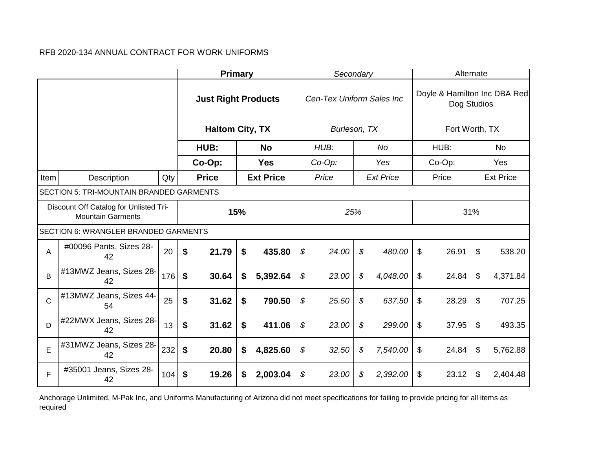|              |                                                                    |     | <b>Primary</b>             |                  |            | Secondary |                           | Alternate      |                                             |                  |           |
|--------------|--------------------------------------------------------------------|-----|----------------------------|------------------|------------|-----------|---------------------------|----------------|---------------------------------------------|------------------|-----------|
|              |                                                                    |     | <b>Just Right Products</b> |                  |            |           | Cen-Tex Uniform Sales Inc |                | Doyle & Hamilton Inc DBA Red<br>Dog Studios |                  |           |
|              |                                                                    |     | <b>Haltom City, TX</b>     |                  |            |           | Burleson, TX              |                | Fort Worth, TX                              |                  |           |
|              |                                                                    |     | HUB:                       |                  | <b>No</b>  |           | HUB:                      | No             | HUB:                                        |                  | <b>No</b> |
|              |                                                                    |     | Co-Op:                     |                  | <b>Yes</b> |           | $Co-Op$ :                 | Yes            | Co-Op:                                      |                  | Yes       |
| Item         | Description                                                        | Qty | <b>Price</b>               | <b>Ext Price</b> |            | Price     | <b>Ext Price</b>          | Price          |                                             | <b>Ext Price</b> |           |
|              | SECTION 5: TRI-MOUNTAIN BRANDED GARMENTS                           |     |                            |                  |            |           |                           |                |                                             |                  |           |
|              | Discount Off Catalog for Unlisted Tri-<br><b>Mountain Garments</b> |     |                            | 15%              |            |           | 25%                       |                |                                             | 31%              |           |
|              | <b>SECTION 6: WRANGLER BRANDED GARMENTS</b>                        |     |                            |                  |            |           |                           |                |                                             |                  |           |
| Α            | #00096 Pants, Sizes 28-<br>42                                      | 20  | \$<br>21.79                | \$               | 435.80     | \$        | 24.00                     | \$<br>480.00   | \$<br>26.91                                 | \$               | 538.20    |
| B            | #13MWZ Jeans, Sizes 28-<br>42                                      | 176 | \$<br>30.64                | \$               | 5,392.64   | \$        | 23.00                     | \$<br>4,048.00 | \$<br>24.84                                 | \$               | 4,371.84  |
| $\mathsf{C}$ | #13MWZ Jeans, Sizes 44-<br>54                                      | 25  | \$<br>31.62                | \$               | 790.50     | \$        | 25.50                     | \$<br>637.50   | \$<br>28.29                                 | \$               | 707.25    |
| D            | #22MWX Jeans, Sizes 28-<br>42                                      | 13  | \$<br>31.62                | \$               | 411.06     | \$        | 23.00                     | \$<br>299.00   | \$<br>37.95                                 | \$               | 493.35    |
| E            | #31MWZ Jeans, Sizes 28-<br>42                                      | 232 | \$<br>20.80                | \$               | 4,825.60   | \$        | 32.50                     | \$<br>7,540.00 | \$<br>24.84                                 | \$               | 5,762.88  |
| F            | #35001 Jeans, Sizes 28-<br>42                                      | 104 | \$<br>19.26                | \$               | 2,003.04   | \$        | 23.00                     | \$<br>2,392.00 | \$<br>23.12                                 | \$               | 2,404.48  |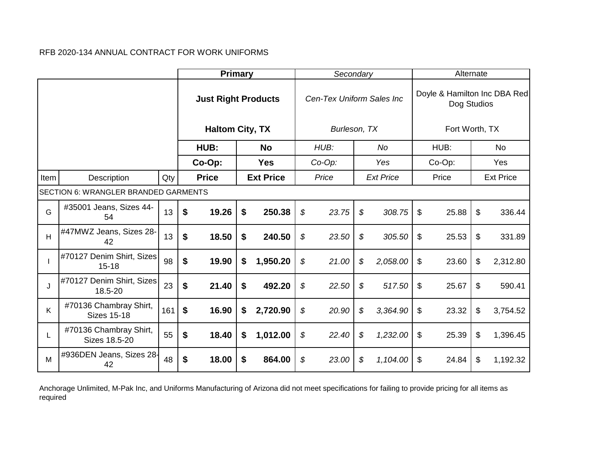|      |                                              |     |                   | <b>Primary</b>             |                  | Secondary                 |                  | Alternate                                   |                  |
|------|----------------------------------------------|-----|-------------------|----------------------------|------------------|---------------------------|------------------|---------------------------------------------|------------------|
|      |                                              |     |                   | <b>Just Right Products</b> |                  | Cen-Tex Uniform Sales Inc |                  | Doyle & Hamilton Inc DBA Red<br>Dog Studios |                  |
|      |                                              |     |                   | <b>Haltom City, TX</b>     |                  | Burleson, TX              |                  | Fort Worth, TX                              |                  |
|      |                                              |     |                   | HUB:                       | <b>No</b>        | HUB:                      | No               | HUB:                                        | No.              |
|      |                                              |     |                   | Co-Op:                     | <b>Yes</b>       | $Co-Op$ :                 | Yes              | Co-Op:                                      | Yes              |
| Item | Description                                  | Qty |                   | <b>Price</b>               | <b>Ext Price</b> | Price                     | <b>Ext Price</b> | Price                                       | <b>Ext Price</b> |
|      | SECTION 6: WRANGLER BRANDED GARMENTS         |     |                   |                            |                  |                           |                  |                                             |                  |
| G    | #35001 Jeans, Sizes 44-<br>54                | 13  | $\boldsymbol{\$}$ | 19.26                      | \$<br>250.38     | \$<br>23.75               | \$<br>308.75     | \$<br>25.88                                 | \$<br>336.44     |
| H    | #47MWZ Jeans, Sizes 28-<br>42                | 13  | \$                | 18.50                      | \$<br>240.50     | \$<br>23.50               | \$<br>305.50     | \$<br>25.53                                 | \$<br>331.89     |
|      | #70127 Denim Shirt, Sizes<br>$15 - 18$       | 98  | \$                | 19.90                      | \$<br>1,950.20   | \$<br>21.00               | \$<br>2,058.00   | \$<br>23.60                                 | \$<br>2,312.80   |
| J    | #70127 Denim Shirt, Sizes<br>18.5-20         | 23  | \$                | 21.40                      | \$<br>492.20     | \$<br>22.50               | \$<br>517.50     | \$<br>25.67                                 | \$<br>590.41     |
| K    | #70136 Chambray Shirt,<br><b>Sizes 15-18</b> | 161 | \$                | 16.90                      | \$<br>2,720.90   | \$<br>20.90               | \$<br>3,364.90   | \$<br>23.32                                 | \$<br>3,754.52   |
| L    | #70136 Chambray Shirt,<br>Sizes 18.5-20      | 55  | \$                | 18.40                      | \$<br>1,012.00   | \$<br>22.40               | \$<br>1,232.00   | \$<br>25.39                                 | \$<br>1,396.45   |
| м    | #936DEN Jeans, Sizes 28-<br>42               | 48  | \$                | 18.00                      | \$<br>864.00     | \$<br>23.00               | \$<br>1,104.00   | \$<br>24.84                                 | \$<br>1,192.32   |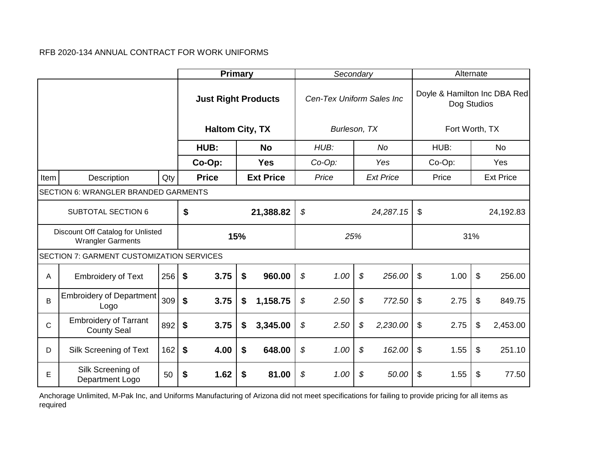|              |                                                               |     | <b>Primary</b>                           |                            |     |                  |    | Secondary                 |                            |                  |                | Alternate      |                |                              |
|--------------|---------------------------------------------------------------|-----|------------------------------------------|----------------------------|-----|------------------|----|---------------------------|----------------------------|------------------|----------------|----------------|----------------|------------------------------|
|              |                                                               |     |                                          | <b>Just Right Products</b> |     |                  |    | Cen-Tex Uniform Sales Inc |                            |                  |                | Dog Studios    |                | Doyle & Hamilton Inc DBA Red |
|              |                                                               |     |                                          | <b>Haltom City, TX</b>     |     |                  |    | Burleson, TX              |                            |                  |                | Fort Worth, TX |                |                              |
|              |                                                               |     |                                          | HUB:                       |     | <b>No</b>        |    | HUB:                      |                            | No               |                | HUB:           |                | No.                          |
|              |                                                               |     |                                          | Co-Op:                     |     | <b>Yes</b>       |    | Co-Op:                    |                            | Yes              |                | Co-Op:         |                | Yes                          |
| Item         | Description                                                   | Qty |                                          | <b>Price</b>               |     | <b>Ext Price</b> |    | Price                     |                            | <b>Ext Price</b> |                | Price          |                | <b>Ext Price</b>             |
|              | SECTION 6: WRANGLER BRANDED GARMENTS                          |     |                                          |                            |     |                  |    |                           |                            |                  |                |                |                |                              |
|              | <b>SUBTOTAL SECTION 6</b>                                     |     | \$<br>\$<br>\$<br>21,388.82<br>24,287.15 |                            |     |                  |    |                           |                            |                  |                |                | 24,192.83      |                              |
|              | Discount Off Catalog for Unlisted<br><b>Wrangler Garments</b> |     |                                          |                            | 15% |                  |    | 25%                       |                            |                  |                | 31%            |                |                              |
|              | SECTION 7: GARMENT CUSTOMIZATION SERVICES                     |     |                                          |                            |     |                  |    |                           |                            |                  |                |                |                |                              |
| Α            | <b>Embroidery of Text</b>                                     | 256 | \$                                       | 3.75                       | \$  | 960.00           | \$ | 1.00                      | $\mathcal{L}$              | 256.00           | $\mathfrak{S}$ | 1.00           | $\mathfrak{S}$ | 256.00                       |
| B            | <b>Embroidery of Department</b><br>Logo                       | 309 | $\boldsymbol{\mathsf{s}}$                | 3.75                       | \$  | 1,158.75         | \$ | 2.50                      | $\boldsymbol{\mathcal{S}}$ | 772.50           | $\mathfrak{L}$ | 2.75           | \$             | 849.75                       |
| $\mathsf{C}$ | <b>Embroidery of Tarrant</b><br><b>County Seal</b>            | 892 | \$                                       | 3.75                       | \$  | 3,345.00         | \$ | 2.50                      | $\boldsymbol{\mathcal{S}}$ | 2,230.00         | \$             | 2.75           | \$             | 2,453.00                     |
| D            | Silk Screening of Text                                        | 162 | \$                                       | 4.00                       | \$  | 648.00           | \$ | 1.00                      | $\boldsymbol{\mathcal{S}}$ | 162.00           | $\mathfrak{S}$ | 1.55           | \$             | 251.10                       |
| Е            | Silk Screening of<br>Department Logo                          | 50  | \$                                       | 1.62                       | \$  | 81.00            | \$ | 1.00                      | \$                         | 50.00            | \$             | 1.55           | \$             | 77.50                        |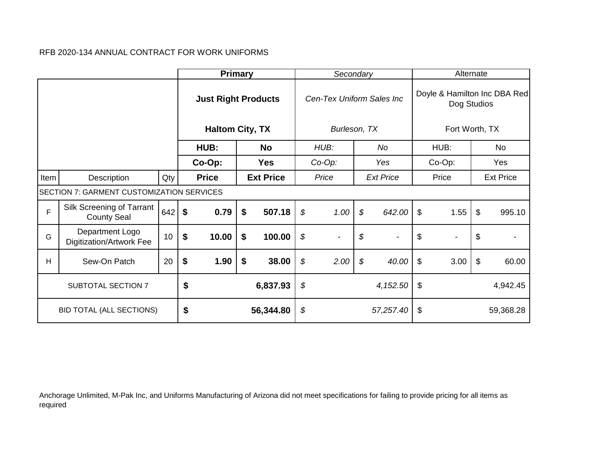|      |                                                    |     | <b>Primary</b>             |                  | Secondary                      |                                |                           | Alternate      |                              |
|------|----------------------------------------------------|-----|----------------------------|------------------|--------------------------------|--------------------------------|---------------------------|----------------|------------------------------|
|      |                                                    |     | <b>Just Right Products</b> |                  | Cen-Tex Uniform Sales Inc      |                                |                           | Dog Studios    | Doyle & Hamilton Inc DBA Red |
|      |                                                    |     | <b>Haltom City, TX</b>     |                  | Burleson, TX                   |                                |                           | Fort Worth, TX |                              |
|      |                                                    |     | HUB:                       | <b>No</b>        | HUB:                           | No                             |                           | HUB:           | No                           |
|      |                                                    |     | Co-Op:                     | <b>Yes</b>       | $Co-Op$ :                      | Yes                            |                           | Co-Op:         | Yes                          |
| Item | Description                                        | Qty | <b>Price</b>               | <b>Ext Price</b> | Price                          | <b>Ext Price</b>               |                           | Price          | <b>Ext Price</b>             |
|      | <b>SECTION 7: GARMENT CUSTOMIZATION SERVICES</b>   |     |                            |                  |                                |                                |                           |                |                              |
| F    | Silk Screening of Tarrant<br><b>County Seal</b>    | 642 | \$<br>0.79                 | \$<br>507.18     | \$<br>1.00                     | \$<br>642.00                   | $\boldsymbol{\mathsf{S}}$ | 1.55           | \$<br>995.10                 |
| G    | Department Logo<br><b>Digitization/Artwork Fee</b> | 10  | \$<br>10.00                | \$<br>100.00     | \$<br>$\overline{\phantom{a}}$ | \$<br>$\overline{\phantom{a}}$ | \$                        | $\blacksquare$ | \$                           |
| H    | Sew-On Patch                                       | 20  | \$<br>1.90                 | \$<br>38.00      | \$<br>2.00                     | \$<br>40.00                    | $\$\$                     | 3.00           | \$<br>60.00                  |
|      | SUBTOTAL SECTION 7                                 |     | \$                         | 6,837.93         | \$                             | 4,152.50                       | $\sqrt[6]{\frac{1}{2}}$   |                | 4,942.45                     |
|      | <b>BID TOTAL (ALL SECTIONS)</b>                    |     | \$                         | 56,344.80        | \$                             | 57,257.40                      | \$                        |                | 59,368.28                    |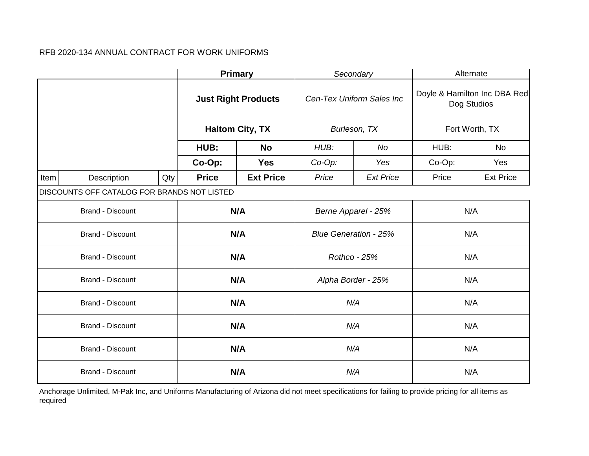|      |                                             |     |              | <b>Primary</b>             | Secondary                    |                           |        | Alternate                                   |
|------|---------------------------------------------|-----|--------------|----------------------------|------------------------------|---------------------------|--------|---------------------------------------------|
|      |                                             |     |              | <b>Just Right Products</b> |                              | Cen-Tex Uniform Sales Inc |        | Doyle & Hamilton Inc DBA Red<br>Dog Studios |
|      |                                             |     |              | <b>Haltom City, TX</b>     |                              | Burleson, TX              |        | Fort Worth, TX                              |
|      |                                             |     | HUB:         | <b>No</b>                  | HUB:                         | No                        | HUB:   | <b>No</b>                                   |
|      |                                             |     | Co-Op:       | <b>Yes</b>                 | $Co-Op$ :                    | Yes                       | Co-Op: | Yes                                         |
| Item | Description                                 | Qty | <b>Price</b> | <b>Ext Price</b>           | Price                        | <b>Ext Price</b>          | Price  | <b>Ext Price</b>                            |
|      | DISCOUNTS OFF CATALOG FOR BRANDS NOT LISTED |     |              |                            |                              |                           |        |                                             |
|      | <b>Brand - Discount</b>                     |     |              | N/A                        | Berne Apparel - 25%          |                           |        | N/A                                         |
|      | <b>Brand - Discount</b>                     |     |              | N/A                        | <b>Blue Generation - 25%</b> |                           |        | N/A                                         |
|      | Brand - Discount                            |     |              | N/A                        | Rothco - 25%                 |                           |        | N/A                                         |
|      | Brand - Discount                            |     |              | N/A                        | Alpha Border - 25%           |                           |        | N/A                                         |
|      | <b>Brand - Discount</b>                     |     |              | N/A                        | N/A                          |                           |        | N/A                                         |
|      | <b>Brand - Discount</b>                     |     |              | N/A                        | N/A                          |                           |        | N/A                                         |
|      | <b>Brand - Discount</b>                     |     |              | N/A                        | N/A                          |                           |        | N/A                                         |
|      | <b>Brand - Discount</b>                     |     |              | N/A                        | N/A                          |                           |        | N/A                                         |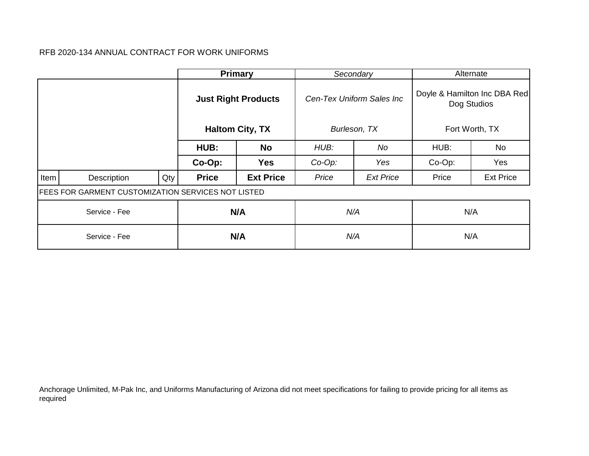|      |                                                           |     |              | <b>Primary</b>             |           | Secondary                 |        | Alternate                                   |
|------|-----------------------------------------------------------|-----|--------------|----------------------------|-----------|---------------------------|--------|---------------------------------------------|
|      |                                                           |     |              | <b>Just Right Products</b> |           | Cen-Tex Uniform Sales Inc |        | Doyle & Hamilton Inc DBA Red<br>Dog Studios |
|      |                                                           |     |              | <b>Haltom City, TX</b>     |           | Burleson, TX              |        | Fort Worth, TX                              |
|      |                                                           |     | HUB:         | <b>No</b>                  | HUB:      | No                        | HUB:   | No                                          |
|      |                                                           |     | Co-Op:       | <b>Yes</b>                 | $Co-Op$ : | Yes                       | Co-Op: | Yes                                         |
| Item | Description                                               | Qty | <b>Price</b> | <b>Ext Price</b>           | Price     | <b>Ext Price</b>          | Price  | <b>Ext Price</b>                            |
|      | <b>FEES FOR GARMENT CUSTOMIZATION SERVICES NOT LISTED</b> |     |              |                            |           |                           |        |                                             |
|      | Service - Fee                                             |     |              | N/A                        | N/A       |                           |        | N/A                                         |
|      | Service - Fee                                             |     |              | N/A                        | N/A       |                           |        | N/A                                         |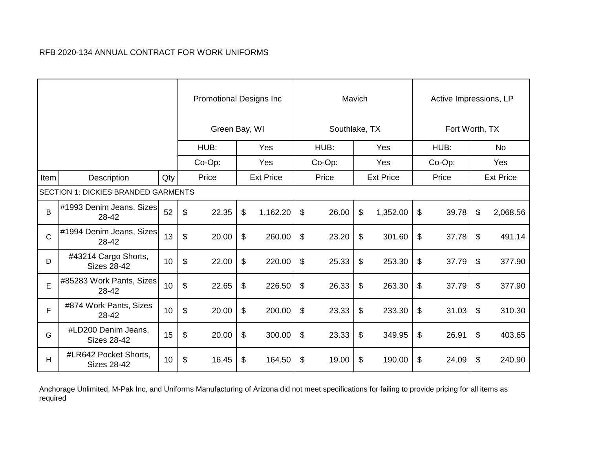|              |                                             |     |       | <b>Promotional Designs Inc</b> |                  |               | Mavich |                  | Active Impressions, LP |                  |
|--------------|---------------------------------------------|-----|-------|--------------------------------|------------------|---------------|--------|------------------|------------------------|------------------|
|              |                                             |     |       | Green Bay, WI                  |                  | Southlake, TX |        |                  | Fort Worth, TX         |                  |
|              |                                             |     |       | HUB:                           | Yes              | HUB:          |        | Yes              | HUB:                   | <b>No</b>        |
|              |                                             |     |       | $Co-Op$ :                      | Yes              | Co-Op:        |        | Yes              | Co-Op:                 | Yes              |
| Item         | Description                                 | Qty |       | Price                          | <b>Ext Price</b> | Price         |        | <b>Ext Price</b> | Price                  | <b>Ext Price</b> |
|              | <b>SECTION 1: DICKIES BRANDED GARMENTS</b>  |     |       |                                |                  |               |        |                  |                        |                  |
| B            | #1993 Denim Jeans, Sizes<br>28-42           | 52  | \$    | 22.35                          | \$<br>1,162.20   | \$<br>26.00   | \$     | 1,352.00         | \$<br>39.78            | \$<br>2,068.56   |
| $\mathsf{C}$ | #1994 Denim Jeans, Sizes<br>28-42           | 13  | \$    | 20.00                          | \$<br>260.00     | \$<br>23.20   | \$     | 301.60           | \$<br>37.78            | \$<br>491.14     |
| D            | #43214 Cargo Shorts,<br><b>Sizes 28-42</b>  | 10  | \$    | 22.00                          | \$<br>220.00     | \$<br>25.33   | \$     | 253.30           | \$<br>37.79            | \$<br>377.90     |
| E            | #85283 Work Pants, Sizes<br>28-42           | 10  | \$    | 22.65                          | \$<br>226.50     | \$<br>26.33   | \$     | 263.30           | \$<br>37.79            | \$<br>377.90     |
| F.           | #874 Work Pants, Sizes<br>28-42             | 10  | $\$\$ | 20.00                          | \$<br>200.00     | \$<br>23.33   | \$     | 233.30           | \$<br>31.03            | \$<br>310.30     |
| G            | #LD200 Denim Jeans,<br><b>Sizes 28-42</b>   | 15  | \$    | 20.00                          | \$<br>300.00     | \$<br>23.33   | \$     | 349.95           | \$<br>26.91            | \$<br>403.65     |
| н            | #LR642 Pocket Shorts,<br><b>Sizes 28-42</b> | 10  | \$    | 16.45                          | \$<br>164.50     | \$<br>19.00   | \$     | 190.00           | \$<br>24.09            | \$<br>240.90     |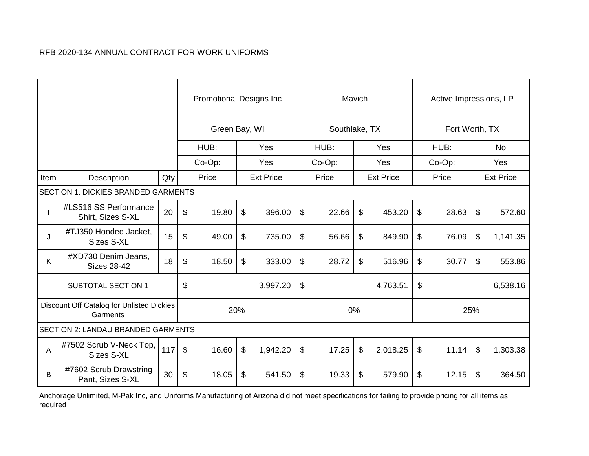|      |                                                       |     |                           | <b>Promotional Designs Inc</b> |                  |                           |               | Mavich |                  | Active Impressions, LP |     |                  |
|------|-------------------------------------------------------|-----|---------------------------|--------------------------------|------------------|---------------------------|---------------|--------|------------------|------------------------|-----|------------------|
|      |                                                       |     |                           | Green Bay, WI                  |                  |                           | Southlake, TX |        |                  | Fort Worth, TX         |     |                  |
|      |                                                       |     |                           | HUB:                           | Yes              |                           | HUB:          |        | Yes              | HUB:                   |     | <b>No</b>        |
|      |                                                       |     |                           | $Co-Op$ :                      | Yes              |                           | Co-Op:        |        | Yes              | Co-Op:                 |     | Yes              |
| Item | Description                                           | Qty |                           | Price                          | <b>Ext Price</b> |                           | Price         |        | <b>Ext Price</b> | Price                  |     | <b>Ext Price</b> |
|      | SECTION 1: DICKIES BRANDED GARMENTS                   |     |                           |                                |                  |                           |               |        |                  |                        |     |                  |
|      | #LS516 SS Performance<br>Shirt, Sizes S-XL            | 20  | $\sqrt[6]{\frac{1}{2}}$   | 19.80                          | \$<br>396.00     | \$                        | 22.66         | $\$\$  | 453.20           | \$<br>28.63            | \$  | 572.60           |
| J    | #TJ350 Hooded Jacket,<br>Sizes S-XL                   | 15  | \$                        | 49.00                          | \$<br>735.00     | \$                        | 56.66         | \$     | 849.90           | \$<br>76.09            | \$  | 1,141.35         |
| Κ    | #XD730 Denim Jeans,<br><b>Sizes 28-42</b>             | 18  | $\mathfrak{L}$            | 18.50                          | \$<br>333.00     | $\sqrt[6]{\frac{1}{2}}$   | 28.72         | \$     | 516.96           | \$<br>30.77            | \$  | 553.86           |
|      | <b>SUBTOTAL SECTION 1</b>                             |     | \$                        |                                | 3,997.20         | $\boldsymbol{\mathsf{S}}$ |               |        | 4,763.51         | \$                     |     | 6,538.16         |
|      | Discount Off Catalog for Unlisted Dickies<br>Garments |     |                           | 20%                            |                  |                           |               | 0%     |                  |                        | 25% |                  |
|      | <b>SECTION 2: LANDAU BRANDED GARMENTS</b>             |     |                           |                                |                  |                           |               |        |                  |                        |     |                  |
| A    | #7502 Scrub V-Neck Top,<br>Sizes S-XL                 | 117 | $\boldsymbol{\mathsf{S}}$ | 16.60                          | \$<br>1,942.20   | $\sqrt[6]{\frac{1}{2}}$   | 17.25         | \$     | 2,018.25         | \$<br>11.14            | \$  | 1,303.38         |
| B    | #7602 Scrub Drawstring<br>Pant, Sizes S-XL            | 30  | \$                        | 18.05                          | \$<br>541.50     | \$                        | 19.33         | \$     | 579.90           | \$<br>12.15            | \$  | 364.50           |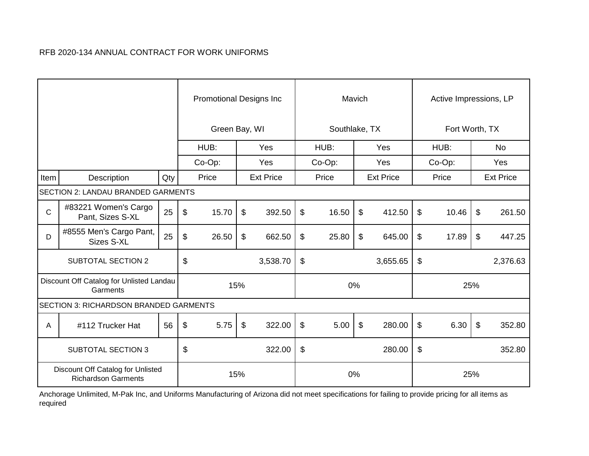|              |                                                                 |     |                         | <b>Promotional Designs Inc</b> |     |                  |                           | Mavich        |                |                  |                         | Active Impressions, LP |                           |                  |
|--------------|-----------------------------------------------------------------|-----|-------------------------|--------------------------------|-----|------------------|---------------------------|---------------|----------------|------------------|-------------------------|------------------------|---------------------------|------------------|
|              |                                                                 |     |                         | Green Bay, WI                  |     |                  |                           | Southlake, TX |                |                  |                         | Fort Worth, TX         |                           |                  |
|              |                                                                 |     |                         | HUB:                           |     | Yes              |                           | HUB:          |                | Yes              |                         | HUB:                   |                           | <b>No</b>        |
|              |                                                                 |     |                         | $Co-Op$ :                      |     | Yes              |                           | Co-Op:        |                | <b>Yes</b>       |                         | Co-Op:                 |                           | <b>Yes</b>       |
| Item         | Description                                                     | Qty |                         | Price                          |     | <b>Ext Price</b> |                           | Price         |                | <b>Ext Price</b> |                         | Price                  |                           | <b>Ext Price</b> |
|              | SECTION 2: LANDAU BRANDED GARMENTS                              |     |                         |                                |     |                  |                           |               |                |                  |                         |                        |                           |                  |
| $\mathsf{C}$ | #83221 Women's Cargo<br>Pant, Sizes S-XL                        | 25  | $\sqrt[6]{\frac{1}{2}}$ | 15.70                          | \$  | 392.50           | $\mathfrak{S}$            | 16.50         | $\mathfrak{S}$ | 412.50           | $\sqrt[6]{\frac{1}{2}}$ | 10.46                  | $\mathfrak{L}$            | 261.50           |
| D            | #8555 Men's Cargo Pant,<br><b>Sizes S-XL</b>                    | 25  | \$                      | 26.50                          | \$  | 662.50           | $\sqrt[6]{\frac{1}{2}}$   | 25.80         | \$             | 645.00           | \$                      | 17.89                  | \$                        | 447.25           |
|              | <b>SUBTOTAL SECTION 2</b>                                       |     | $\$\$                   |                                |     | 3,538.70         | $\boldsymbol{\mathsf{S}}$ |               |                | 3,655.65         | \$                      |                        |                           | 2,376.63         |
|              | Discount Off Catalog for Unlisted Landau<br>Garments            |     |                         |                                | 15% |                  |                           |               | 0%             |                  |                         | 25%                    |                           |                  |
|              | <b>SECTION 3: RICHARDSON BRANDED GARMENTS</b>                   |     |                         |                                |     |                  |                           |               |                |                  |                         |                        |                           |                  |
| A            | #112 Trucker Hat                                                | 56  | $\mathfrak{F}$          | 5.75                           | \$  | 322.00           | $\frac{1}{2}$             | 5.00          | $\$\$          | 280.00           | $\sqrt[6]{\frac{1}{2}}$ | 6.30                   | $\boldsymbol{\mathsf{S}}$ | 352.80           |
|              | <b>SUBTOTAL SECTION 3</b>                                       |     | \$                      |                                |     | 322.00           | \$                        |               |                | 280.00           | \$                      |                        |                           | 352.80           |
|              | Discount Off Catalog for Unlisted<br><b>Richardson Garments</b> |     |                         |                                | 15% |                  |                           |               | 0%             |                  |                         | 25%                    |                           |                  |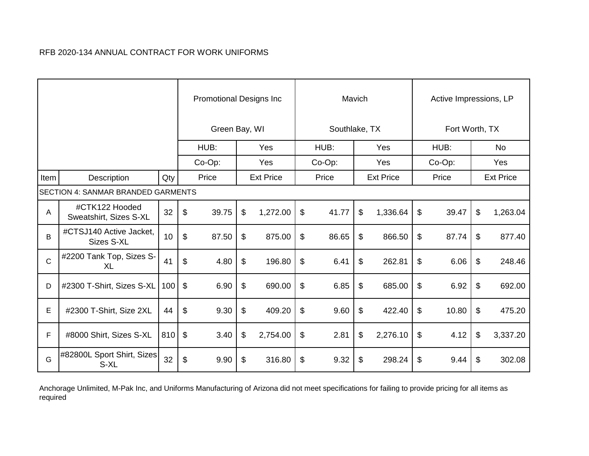|              |                                           |     |                            | <b>Promotional Designs Inc</b> |                  |               | Mavich |                  | Active Impressions, LP |                  |
|--------------|-------------------------------------------|-----|----------------------------|--------------------------------|------------------|---------------|--------|------------------|------------------------|------------------|
|              |                                           |     |                            | Green Bay, WI                  |                  | Southlake, TX |        |                  | Fort Worth, TX         |                  |
|              |                                           |     |                            | HUB:                           | Yes              | HUB:          |        | Yes              | HUB:                   | <b>No</b>        |
|              |                                           |     |                            | Co-Op:                         | Yes              | Co-Op:        |        | Yes              | Co-Op:                 | Yes              |
| Item         | Description                               | Qty |                            | Price                          | <b>Ext Price</b> | Price         |        | <b>Ext Price</b> | Price                  | <b>Ext Price</b> |
|              | <b>SECTION 4: SANMAR BRANDED GARMENTS</b> |     |                            |                                |                  |               |        |                  |                        |                  |
| A            | #CTK122 Hooded<br>Sweatshirt, Sizes S-XL  | 32  | \$                         | 39.75                          | \$<br>1,272.00   | \$<br>41.77   | \$     | 1,336.64         | \$<br>39.47            | \$<br>1,263.04   |
| B            | #CTSJ140 Active Jacket,<br>Sizes S-XL     | 10  | \$                         | 87.50                          | \$<br>875.00     | \$<br>86.65   | \$     | 866.50           | \$<br>87.74            | \$<br>877.40     |
| $\mathsf{C}$ | #2200 Tank Top, Sizes S-<br>XL            | 41  | \$                         | 4.80                           | \$<br>196.80     | \$<br>6.41    | \$     | 262.81           | \$<br>6.06             | \$<br>248.46     |
| D            | #2300 T-Shirt, Sizes S-XL                 | 100 | $\boldsymbol{\mathsf{S}}$  | 6.90                           | \$<br>690.00     | \$<br>6.85    | \$     | 685.00           | \$<br>6.92             | \$<br>692.00     |
| Е            | #2300 T-Shirt, Size 2XL                   | 44  | $\$\$                      | 9.30                           | \$<br>409.20     | \$<br>9.60    | \$     | 422.40           | \$<br>10.80            | \$<br>475.20     |
| F            | #8000 Shirt, Sizes S-XL                   | 810 | $\boldsymbol{\mathcal{S}}$ | 3.40                           | \$<br>2,754.00   | \$<br>2.81    | \$     | 2,276.10         | \$<br>4.12             | \$<br>3,337.20   |
| G            | #82800L Sport Shirt, Sizes<br>S-XL        | 32  | \$                         | 9.90                           | \$<br>316.80     | \$<br>9.32    | \$     | 298.24           | \$<br>9.44             | \$<br>302.08     |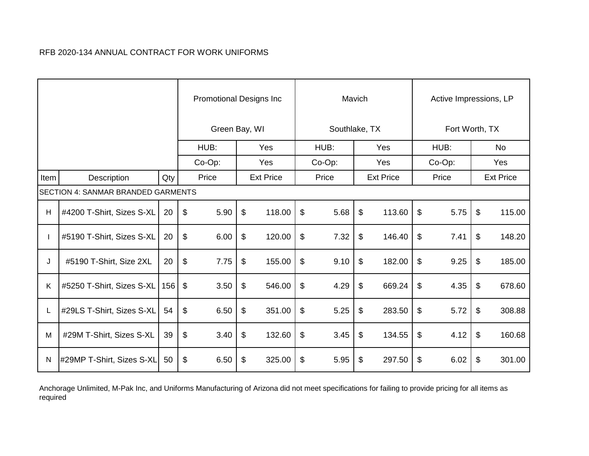|      |                                           |     |                            | <b>Promotional Designs Inc</b> |                  |                           |               | Mavich |                  |                         | Active Impressions, LP |                  |
|------|-------------------------------------------|-----|----------------------------|--------------------------------|------------------|---------------------------|---------------|--------|------------------|-------------------------|------------------------|------------------|
|      |                                           |     |                            | Green Bay, WI                  |                  |                           | Southlake, TX |        |                  |                         | Fort Worth, TX         |                  |
|      |                                           |     |                            | HUB:                           | Yes              |                           | HUB:          |        | Yes              |                         | HUB:                   | <b>No</b>        |
|      |                                           |     |                            | Co-Op:                         | Yes              |                           | Co-Op:        |        | Yes              |                         | Co-Op:                 | Yes              |
| Item | Description                               | Qty |                            | Price                          | <b>Ext Price</b> |                           | Price         |        | <b>Ext Price</b> |                         | Price                  | <b>Ext Price</b> |
|      | <b>SECTION 4: SANMAR BRANDED GARMENTS</b> |     |                            |                                |                  |                           |               |        |                  |                         |                        |                  |
| H    | #4200 T-Shirt, Sizes S-XL                 | 20  | $\sqrt[6]{\frac{1}{2}}$    | 5.90                           | \$<br>118.00     | $\mathfrak{S}$            | 5.68          | $\$\$  | 113.60           | $\$\$                   | 5.75                   | \$<br>115.00     |
|      | #5190 T-Shirt, Sizes S-XL                 | 20  | $\mathfrak{L}$             | 6.00                           | \$<br>120.00     | \$                        | 7.32          | \$     | 146.40           | \$                      | 7.41                   | \$<br>148.20     |
| J    | #5190 T-Shirt, Size 2XL                   | 20  | $\$\$                      | 7.75                           | \$<br>155.00     | $\frac{1}{2}$             | 9.10          | \$     | 182.00           | \$                      | 9.25                   | \$<br>185.00     |
| K    | #5250 T-Shirt, Sizes S-XL                 | 156 | $\mathfrak{L}$             | 3.50                           | \$<br>546.00     | $\boldsymbol{\mathsf{S}}$ | 4.29          | \$     | 669.24           | \$                      | 4.35                   | \$<br>678.60     |
|      | #29LS T-Shirt, Sizes S-XL                 | 54  | $\boldsymbol{\mathsf{\$}}$ | 6.50                           | \$<br>351.00     | $\frac{1}{2}$             | 5.25          | \$     | 283.50           | $\sqrt[6]{\frac{1}{2}}$ | 5.72                   | \$<br>308.88     |
| M    | #29M T-Shirt, Sizes S-XL                  | 39  | $\$\$                      | 3.40                           | \$<br>132.60     | $\boldsymbol{\mathsf{S}}$ | 3.45          | \$     | 134.55           | \$                      | 4.12                   | \$<br>160.68     |
| N    | #29MP T-Shirt, Sizes S-XL                 | 50  | $\$\$                      | 6.50                           | \$<br>325.00     | \$                        | 5.95          | \$     | 297.50           | \$                      | 6.02                   | \$<br>301.00     |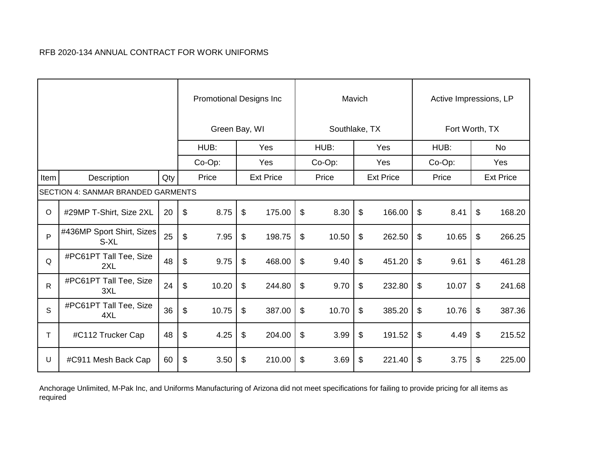|              |                                           |     |       | <b>Promotional Designs Inc.</b> |                           |                  |               | Mavich |                  |                           | Active Impressions, LP |                           |                  |
|--------------|-------------------------------------------|-----|-------|---------------------------------|---------------------------|------------------|---------------|--------|------------------|---------------------------|------------------------|---------------------------|------------------|
|              |                                           |     |       | Green Bay, WI                   |                           |                  | Southlake, TX |        |                  |                           | Fort Worth, TX         |                           |                  |
|              |                                           |     |       | HUB:                            |                           | Yes              | HUB:          |        | Yes              |                           | HUB:                   |                           | <b>No</b>        |
|              |                                           |     |       | Co-Op:                          |                           | Yes              | Co-Op:        |        | Yes              |                           | Co-Op:                 |                           | Yes              |
| Item         | Description                               | Qty |       | Price                           |                           | <b>Ext Price</b> | Price         |        | <b>Ext Price</b> |                           | Price                  |                           | <b>Ext Price</b> |
|              | <b>SECTION 4: SANMAR BRANDED GARMENTS</b> |     |       |                                 |                           |                  |               |        |                  |                           |                        |                           |                  |
| $\circ$      | #29MP T-Shirt, Size 2XL                   | 20  | \$    | 8.75                            | \$                        | 175.00           | \$<br>8.30    | \$     | 166.00           | \$                        | 8.41                   | \$                        | 168.20           |
| $\mathsf{P}$ | #436MP Sport Shirt, Sizes<br>S-XL         | 25  | \$    | 7.95                            | \$                        | 198.75           | \$<br>10.50   | \$     | 262.50           | \$                        | 10.65                  | \$                        | 266.25           |
| Q            | #PC61PT Tall Tee, Size<br>2XL             | 48  | \$    | 9.75                            | \$                        | 468.00           | \$<br>9.40    | \$     | 451.20           | $\boldsymbol{\mathsf{S}}$ | 9.61                   | \$                        | 461.28           |
| $\mathsf{R}$ | #PC61PT Tall Tee, Size<br>3XL             | 24  | \$    | 10.20                           | \$                        | 244.80           | \$<br>9.70    | \$     | 232.80           | \$                        | 10.07                  | $\boldsymbol{\mathsf{s}}$ | 241.68           |
| S            | #PC61PT Tall Tee, Size<br>4XL             | 36  | $\$\$ | 10.75                           | $\boldsymbol{\mathsf{S}}$ | 387.00           | \$<br>10.70   | \$     | 385.20           | \$                        | 10.76                  | $\boldsymbol{\mathsf{s}}$ | 387.36           |
| T            | #C112 Trucker Cap                         | 48  | \$    | 4.25                            | \$                        | 204.00           | \$<br>3.99    | \$     | 191.52           | \$                        | 4.49                   | \$                        | 215.52           |
| U            | #C911 Mesh Back Cap                       | 60  | \$    | 3.50                            | \$                        | 210.00           | \$<br>3.69    | \$     | 221.40           | \$                        | 3.75                   | \$                        | 225.00           |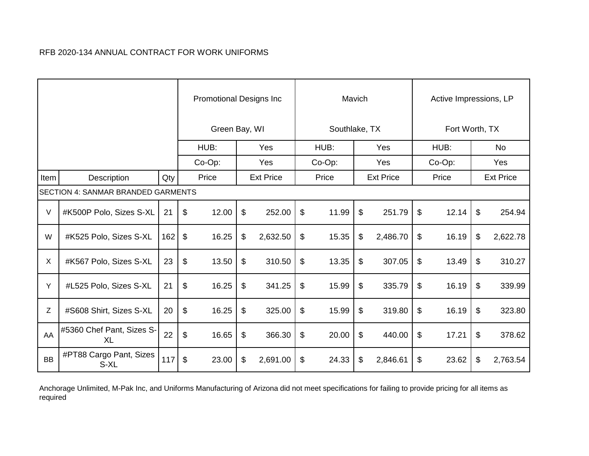|           |                                           |     |                           | <b>Promotional Designs Inc</b> |                  |                            |               | Mavich |                  | Active Impressions, LP |                           |                  |
|-----------|-------------------------------------------|-----|---------------------------|--------------------------------|------------------|----------------------------|---------------|--------|------------------|------------------------|---------------------------|------------------|
|           |                                           |     |                           | Green Bay, WI                  |                  |                            | Southlake, TX |        |                  | Fort Worth, TX         |                           |                  |
|           |                                           |     |                           | HUB:                           | Yes              |                            | HUB:          |        | Yes              | HUB:                   |                           | <b>No</b>        |
|           |                                           |     |                           | Co-Op:                         | Yes              |                            | Co-Op:        |        | Yes              | Co-Op:                 |                           | Yes              |
| Item      | Description                               | Qty |                           | Price                          | <b>Ext Price</b> |                            | Price         |        | <b>Ext Price</b> | Price                  |                           | <b>Ext Price</b> |
|           | <b>SECTION 4: SANMAR BRANDED GARMENTS</b> |     |                           |                                |                  |                            |               |        |                  |                        |                           |                  |
| $\vee$    | #K500P Polo, Sizes S-XL                   | 21  | \$                        | 12.00                          | \$<br>252.00     | \$                         | 11.99         | \$     | 251.79           | \$<br>12.14            | $\boldsymbol{\mathsf{s}}$ | 254.94           |
| W         | #K525 Polo, Sizes S-XL                    | 162 | $\boldsymbol{\mathsf{S}}$ | 16.25                          | \$<br>2,632.50   | $\sqrt[6]{\frac{1}{2}}$    | 15.35         | \$     | 2,486.70         | \$<br>16.19            | \$                        | 2,622.78         |
| X         | #K567 Polo, Sizes S-XL                    | 23  | \$                        | 13.50                          | \$<br>310.50     | $\sqrt[6]{\frac{1}{2}}$    | 13.35         | \$     | 307.05           | \$<br>13.49            | \$                        | 310.27           |
| Y         | #L525 Polo, Sizes S-XL                    | 21  | \$                        | 16.25                          | \$<br>341.25     | $\boldsymbol{\mathsf{\$}}$ | 15.99         | \$     | 335.79           | \$<br>16.19            | \$                        | 339.99           |
| Ζ         | #S608 Shirt, Sizes S-XL                   | 20  | $\$\$                     | 16.25                          | \$<br>325.00     | $\boldsymbol{\mathsf{S}}$  | 15.99         | \$     | 319.80           | \$<br>16.19            | \$                        | 323.80           |
| AA        | #5360 Chef Pant, Sizes S-<br><b>XL</b>    | 22  | \$                        | 16.65                          | \$<br>366.30     | $\sqrt[6]{\frac{1}{2}}$    | 20.00         | \$     | 440.00           | \$<br>17.21            | \$                        | 378.62           |
| <b>BB</b> | #PT88 Cargo Pant, Sizes<br>S-XL           | 117 | $\sqrt[6]{\frac{1}{2}}$   | 23.00                          | \$<br>2,691.00   | \$                         | 24.33         | \$     | 2,846.61         | \$<br>23.62            | \$                        | 2,763.54         |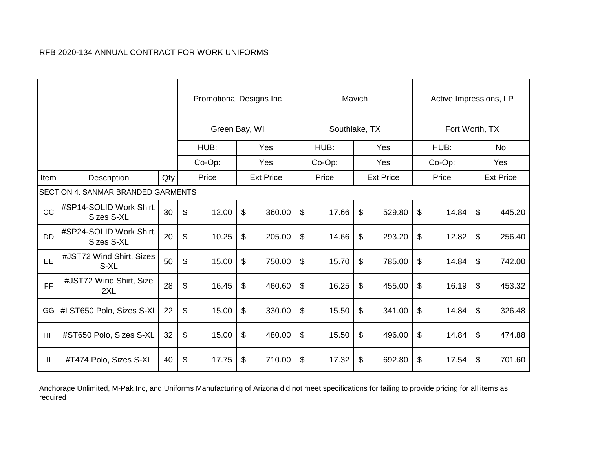|           |                                           |     |                           | <b>Promotional Designs Inc.</b> |                  |                         |               | Mavich |                  |                | Active Impressions, LP |                  |
|-----------|-------------------------------------------|-----|---------------------------|---------------------------------|------------------|-------------------------|---------------|--------|------------------|----------------|------------------------|------------------|
|           |                                           |     |                           | Green Bay, WI                   |                  |                         | Southlake, TX |        |                  |                | Fort Worth, TX         |                  |
|           |                                           |     |                           | HUB:                            | Yes              |                         | HUB:          |        | Yes              |                | HUB:                   | <b>No</b>        |
|           |                                           |     |                           | Co-Op:                          | Yes              |                         | Co-Op:        |        | Yes              |                | Co-Op:                 | Yes              |
| Item      | Description                               | Qty |                           | Price                           | <b>Ext Price</b> |                         | Price         |        | <b>Ext Price</b> |                | Price                  | <b>Ext Price</b> |
|           | <b>SECTION 4: SANMAR BRANDED GARMENTS</b> |     |                           |                                 |                  |                         |               |        |                  |                |                        |                  |
| CC        | #SP14-SOLID Work Shirt,<br>Sizes S-XL     | 30  | $\boldsymbol{\mathsf{S}}$ | 12.00                           | \$<br>360.00     | $\boldsymbol{\theta}$   | 17.66         | \$     | 529.80           | \$             | 14.84                  | \$<br>445.20     |
| <b>DD</b> | #SP24-SOLID Work Shirt,<br>Sizes S-XL     | 20  | $\mathfrak{S}$            | 10.25                           | \$<br>205.00     | \$                      | 14.66         | \$     | 293.20           | \$             | 12.82                  | \$<br>256.40     |
| EE        | #JST72 Wind Shirt, Sizes<br>S-XL          | 50  | \$                        | 15.00                           | \$<br>750.00     | $\boldsymbol{\theta}$   | 15.70         | \$     | 785.00           | \$             | 14.84                  | \$<br>742.00     |
| <b>FF</b> | #JST72 Wind Shirt, Size<br>2XL            | 28  | $\sqrt[6]{\frac{1}{2}}$   | 16.45                           | \$<br>460.60     | \$                      | 16.25         | \$     | 455.00           | \$             | 16.19                  | \$<br>453.32     |
| GG        | #LST650 Polo, Sizes S-XL                  | 22  | $\boldsymbol{\mathsf{S}}$ | 15.00                           | \$<br>330.00     | $\sqrt[6]{\frac{1}{2}}$ | 15.50         | \$     | 341.00           | $\mathfrak{P}$ | 14.84                  | \$<br>326.48     |
| <b>HH</b> | #ST650 Polo, Sizes S-XL                   | 32  | \$                        | 15.00                           | \$<br>480.00     | $\boldsymbol{\theta}$   | 15.50         | \$     | 496.00           | \$             | 14.84                  | \$<br>474.88     |
| Ш         | #T474 Polo, Sizes S-XL                    | 40  | \$                        | 17.75                           | \$<br>710.00     | \$                      | 17.32         | \$     | 692.80           | \$             | 17.54                  | \$<br>701.60     |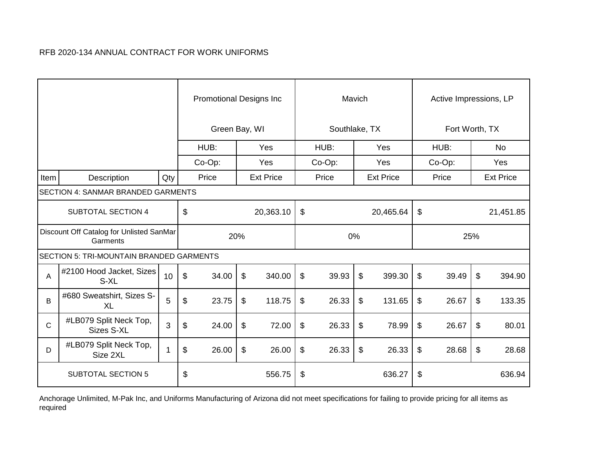|             |                                                      |                |                           | <b>Promotional Designs Inc</b> |       |                  |                           |               | Mavich |                  |                           | Active Impressions, LP |                           |                  |
|-------------|------------------------------------------------------|----------------|---------------------------|--------------------------------|-------|------------------|---------------------------|---------------|--------|------------------|---------------------------|------------------------|---------------------------|------------------|
|             |                                                      |                |                           | Green Bay, WI                  |       |                  |                           | Southlake, TX |        |                  |                           | Fort Worth, TX         |                           |                  |
|             |                                                      |                |                           | HUB:                           |       | Yes              |                           | HUB:          |        | Yes              |                           | HUB:                   |                           | <b>No</b>        |
|             |                                                      |                |                           | Co-Op:                         |       | Yes              |                           | $Co-Op$ :     |        | Yes              |                           | $Co-Op$ :              |                           | <b>Yes</b>       |
| Item        | Description                                          | Qty            |                           | Price                          |       | <b>Ext Price</b> |                           | Price         |        | <b>Ext Price</b> |                           | Price                  |                           | <b>Ext Price</b> |
|             | SECTION 4: SANMAR BRANDED GARMENTS                   |                |                           |                                |       |                  |                           |               |        |                  |                           |                        |                           |                  |
|             | <b>SUBTOTAL SECTION 4</b>                            |                | \$                        |                                |       | 20,363.10        | $\boldsymbol{\mathsf{S}}$ |               |        | 20,465.64        | \$                        |                        |                           | 21,451.85        |
|             | Discount Off Catalog for Unlisted SanMar<br>Garments |                |                           | 20%                            |       |                  |                           | 0%            |        |                  |                           |                        | 25%                       |                  |
|             | <b>SECTION 5: TRI-MOUNTAIN BRANDED GARMENTS</b>      |                |                           |                                |       |                  |                           |               |        |                  |                           |                        |                           |                  |
| A           | #2100 Hood Jacket, Sizes<br>S-XL                     | 10             | $\boldsymbol{\mathsf{S}}$ | 34.00                          | \$    | 340.00           | $\$\$                     | 39.93         | \$     | 399.30           | $\boldsymbol{\mathsf{S}}$ | 39.49                  | $\boldsymbol{\mathsf{S}}$ | 394.90           |
| B           | #680 Sweatshirt, Sizes S-<br><b>XL</b>               | 5              | \$                        | 23.75                          | $\$\$ | 118.75           | \$                        | 26.33         | \$     | 131.65           | \$                        | 26.67                  | \$                        | 133.35           |
| $\mathbf C$ | #LB079 Split Neck Top,<br><b>Sizes S-XL</b>          | $\mathfrak{S}$ | \$                        | 24.00                          | $\$\$ | 72.00            | $\$\$                     | 26.33         | \$     | 78.99            | \$                        | 26.67                  | \$                        | 80.01            |
| D           | #LB079 Split Neck Top,<br>Size 2XL                   |                | \$                        | 26.00                          | \$    | 26.00            | \$                        | 26.33         | \$     | 26.33            | \$                        | 28.68                  | \$                        | 28.68            |
|             | <b>SUBTOTAL SECTION 5</b>                            |                | \$                        |                                |       | 556.75           | $\boldsymbol{\theta}$     |               |        | 636.27           | \$                        |                        |                           | 636.94           |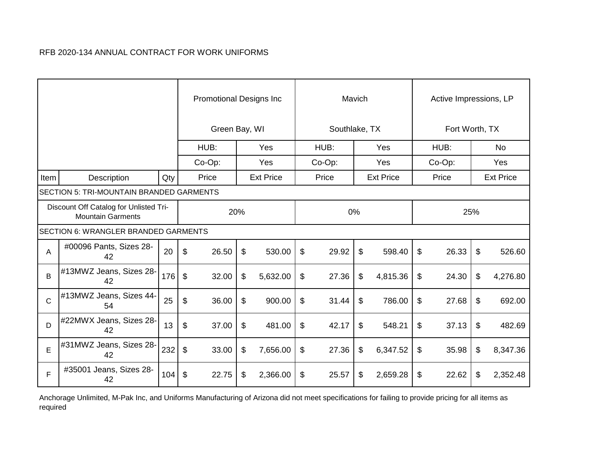|              |                                                                    |     |                           | <b>Promotional Designs Inc</b> |     |                  |                            |               | Mavich |                  | Active Impressions, LP |                  |
|--------------|--------------------------------------------------------------------|-----|---------------------------|--------------------------------|-----|------------------|----------------------------|---------------|--------|------------------|------------------------|------------------|
|              |                                                                    |     |                           | Green Bay, WI                  |     |                  |                            | Southlake, TX |        |                  | Fort Worth, TX         |                  |
|              |                                                                    |     |                           | HUB:                           |     | Yes              |                            | HUB:          |        | Yes              | HUB:                   | No               |
|              |                                                                    |     |                           | $Co-Op$ :                      |     | Yes              |                            | Co-Op:        |        | Yes              | $Co-Op$ :              | Yes              |
| Item         | Description                                                        | Qty |                           | Price                          |     | <b>Ext Price</b> |                            | Price         |        | <b>Ext Price</b> | Price                  | <b>Ext Price</b> |
|              | SECTION 5: TRI-MOUNTAIN BRANDED GARMENTS                           |     |                           |                                |     |                  |                            |               |        |                  |                        |                  |
|              | Discount Off Catalog for Unlisted Tri-<br><b>Mountain Garments</b> |     |                           |                                | 20% |                  |                            | 0%            |        |                  | 25%                    |                  |
|              | <b>SECTION 6: WRANGLER BRANDED GARMENTS</b>                        |     |                           |                                |     |                  |                            |               |        |                  |                        |                  |
| A            | #00096 Pants, Sizes 28-<br>42                                      | 20  | $\mathfrak{F}$            | 26.50                          | \$  | 530.00           | $\frac{1}{2}$              | 29.92         | \$     | 598.40           | \$<br>26.33            | \$<br>526.60     |
| B            | #13MWZ Jeans, Sizes 28-<br>42                                      | 176 | $\boldsymbol{\mathsf{S}}$ | 32.00                          | \$  | 5,632.00         | $\sqrt[6]{\frac{1}{2}}$    | 27.36         | \$     | 4,815.36         | \$<br>24.30            | \$<br>4,276.80   |
| $\mathsf{C}$ | #13MWZ Jeans, Sizes 44-<br>54                                      | 25  | $\boldsymbol{\mathsf{S}}$ | 36.00                          | \$  | 900.00           | $\boldsymbol{\theta}$      | 31.44         | \$     | 786.00           | \$<br>27.68            | \$<br>692.00     |
| D            | #22MWX Jeans, Sizes 28-<br>42                                      | 13  | \$                        | 37.00                          | \$  | 481.00           | $\boldsymbol{\mathsf{\$}}$ | 42.17         | \$     | 548.21           | \$<br>37.13            | \$<br>482.69     |
| E            | #31MWZ Jeans, Sizes 28-<br>42                                      | 232 | \$                        | 33.00                          | \$  | 7,656.00         | \$                         | 27.36         | \$     | 6,347.52         | \$<br>35.98            | \$<br>8,347.36   |
| F            | #35001 Jeans, Sizes 28-<br>42                                      | 104 | $\boldsymbol{\mathsf{S}}$ | 22.75                          | \$  | 2,366.00         | \$                         | 25.57         | \$     | 2,659.28         | \$<br>22.62            | \$<br>2,352.48   |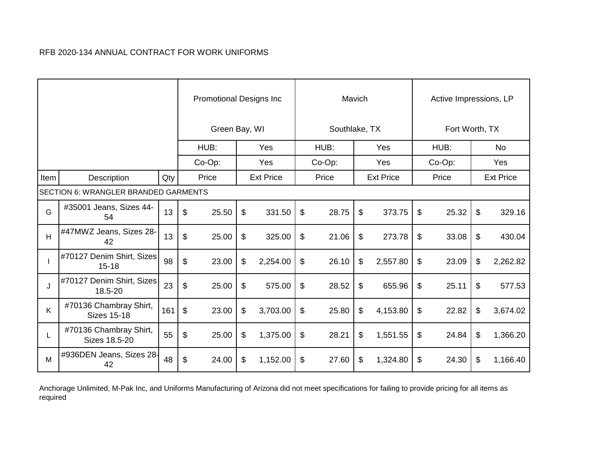|      |                                              |     |                           | <b>Promotional Designs Inc</b> |                  |                           |               | Mavich |                  | Active Impressions, LP |                  |
|------|----------------------------------------------|-----|---------------------------|--------------------------------|------------------|---------------------------|---------------|--------|------------------|------------------------|------------------|
|      |                                              |     |                           | Green Bay, WI                  |                  |                           | Southlake, TX |        |                  | Fort Worth, TX         |                  |
|      |                                              |     |                           | HUB:                           | Yes              |                           | HUB:          |        | Yes              | HUB:                   | <b>No</b>        |
|      |                                              |     |                           | Co-Op:                         | Yes              |                           | Co-Op:        |        | Yes              | Co-Op:                 | Yes              |
| Item | Description                                  | Qty |                           | Price                          | <b>Ext Price</b> |                           | Price         |        | <b>Ext Price</b> | Price                  | <b>Ext Price</b> |
|      | <b>SECTION 6: WRANGLER BRANDED GARMENTS</b>  |     |                           |                                |                  |                           |               |        |                  |                        |                  |
| G    | #35001 Jeans, Sizes 44-<br>54                | 13  | \$                        | 25.50                          | \$<br>331.50     | \$                        | 28.75         | \$     | 373.75           | \$<br>25.32            | \$<br>329.16     |
| H    | #47MWZ Jeans, Sizes 28-<br>42                | 13  | \$                        | 25.00                          | \$<br>325.00     | \$                        | 21.06         | \$     | 273.78           | \$<br>33.08            | \$<br>430.04     |
|      | #70127 Denim Shirt, Sizes<br>$15 - 18$       | 98  | \$                        | 23.00                          | \$<br>2,254.00   | $\boldsymbol{\mathsf{S}}$ | 26.10         | \$     | 2,557.80         | \$<br>23.09            | \$<br>2,262.82   |
| J    | #70127 Denim Shirt, Sizes<br>18.5-20         | 23  | \$                        | 25.00                          | \$<br>575.00     | \$                        | 28.52         | \$     | 655.96           | \$<br>25.11            | \$<br>577.53     |
| K    | #70136 Chambray Shirt,<br><b>Sizes 15-18</b> | 161 | $\boldsymbol{\mathsf{S}}$ | 23.00                          | \$<br>3,703.00   | $\frac{1}{2}$             | 25.80         | \$     | 4,153.80         | \$<br>22.82            | \$<br>3,674.02   |
| L    | #70136 Chambray Shirt,<br>Sizes 18.5-20      | 55  | \$                        | 25.00                          | \$<br>1,375.00   | $\frac{1}{2}$             | 28.21         | \$     | 1,551.55         | \$<br>24.84            | \$<br>1,366.20   |
| M    | #936DEN Jeans, Sizes 28-<br>42               | 48  | \$                        | 24.00                          | \$<br>1,152.00   | \$                        | 27.60         | \$     | 1,324.80         | \$<br>24.30            | \$<br>1,166.40   |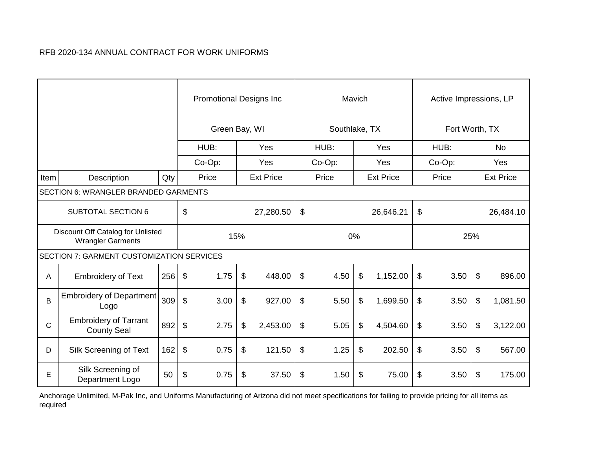|              |                                                               |     |                            | <b>Promotional Designs Inc</b> |       |                  |                            |               | Mavich |                  |                         | Active Impressions, LP |                  |
|--------------|---------------------------------------------------------------|-----|----------------------------|--------------------------------|-------|------------------|----------------------------|---------------|--------|------------------|-------------------------|------------------------|------------------|
|              |                                                               |     |                            | Green Bay, WI                  |       |                  |                            | Southlake, TX |        |                  |                         | Fort Worth, TX         |                  |
|              |                                                               |     |                            | HUB:                           |       | Yes              |                            | HUB:          |        | Yes              |                         | HUB:                   | No               |
|              |                                                               |     |                            | $Co-Op$ :                      |       | Yes              |                            | Co-Op:        |        | Yes              |                         | $Co-Op$ :              | Yes              |
| Item         | Description                                                   | Qty |                            | Price                          |       | <b>Ext Price</b> |                            | Price         |        | <b>Ext Price</b> |                         | Price                  | <b>Ext Price</b> |
|              | SECTION 6: WRANGLER BRANDED GARMENTS                          |     |                            |                                |       |                  |                            |               |        |                  |                         |                        |                  |
|              | <b>SUBTOTAL SECTION 6</b>                                     |     | $\mathfrak{S}$             |                                |       | 27,280.50        | $\boldsymbol{\mathsf{S}}$  |               |        | 26,646.21        | $\mathfrak{S}$          |                        | 26,484.10        |
|              | Discount Off Catalog for Unlisted<br><b>Wrangler Garments</b> |     |                            |                                | 15%   |                  |                            | 0%            |        |                  |                         | 25%                    |                  |
|              | <b>SECTION 7: GARMENT CUSTOMIZATION SERVICES</b>              |     |                            |                                |       |                  |                            |               |        |                  |                         |                        |                  |
| A            | <b>Embroidery of Text</b>                                     | 256 | $\boldsymbol{\mathsf{S}}$  | 1.75                           | $\$\$ | 448.00           | $\sqrt[6]{\frac{1}{2}}$    | 4.50          | \$     | 1,152.00         | $\sqrt[6]{\frac{1}{2}}$ | 3.50                   | \$<br>896.00     |
| B            | <b>Embroidery of Department</b><br>Logo                       | 309 | $\sqrt[6]{\frac{1}{2}}$    | 3.00                           | \$    | 927.00           | $\$\$                      | 5.50          | \$     | 1,699.50         | \$                      | 3.50                   | \$<br>1,081.50   |
| $\mathsf{C}$ | <b>Embroidery of Tarrant</b><br><b>County Seal</b>            | 892 | $\boldsymbol{\mathsf{S}}$  | 2.75                           | \$    | 2,453.00         | $\boldsymbol{\mathsf{\$}}$ | 5.05          | \$     | 4,504.60         | \$                      | 3.50                   | \$<br>3,122.00   |
| D            | Silk Screening of Text                                        | 162 | $\boldsymbol{\mathsf{\$}}$ | 0.75                           | \$    | 121.50           | $\$\$                      | 1.25          | \$     | 202.50           | \$                      | 3.50                   | \$<br>567.00     |
| E            | Silk Screening of<br>Department Logo                          | 50  | \$                         | 0.75                           | \$    | 37.50            | \$                         | 1.50          | \$     | 75.00            | \$                      | 3.50                   | \$<br>175.00     |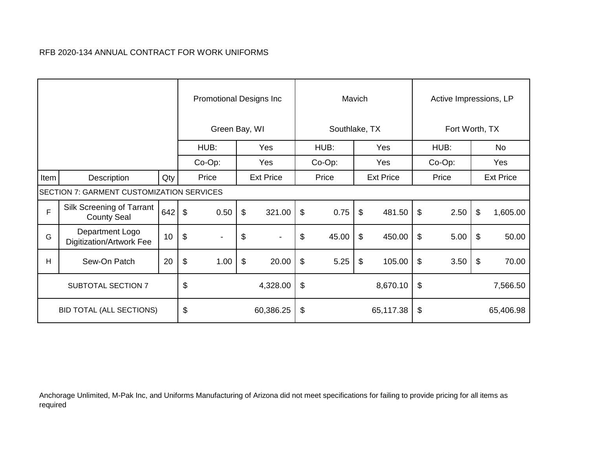|      |                                                  |     |                           | <b>Promotional Designs Inc.</b> |                           |                  |                           |               | Mavich |                  |                           | Active Impressions, LP |                  |
|------|--------------------------------------------------|-----|---------------------------|---------------------------------|---------------------------|------------------|---------------------------|---------------|--------|------------------|---------------------------|------------------------|------------------|
|      |                                                  |     |                           | Green Bay, WI                   |                           |                  |                           | Southlake, TX |        |                  |                           | Fort Worth, TX         |                  |
|      |                                                  |     |                           | HUB:                            |                           | Yes              |                           | HUB:          |        | Yes              |                           | HUB:                   | No               |
|      |                                                  |     |                           | Co-Op:                          |                           | Yes              |                           | Co-Op:        |        | Yes              |                           | Co-Op:                 | Yes              |
| Item | Description                                      | Qty |                           | Price                           |                           | <b>Ext Price</b> |                           | Price         |        | <b>Ext Price</b> |                           | Price                  | <b>Ext Price</b> |
|      | <b>SECTION 7: GARMENT CUSTOMIZATION SERVICES</b> |     |                           |                                 |                           |                  |                           |               |        |                  |                           |                        |                  |
| F    | Silk Screening of Tarrant<br><b>County Seal</b>  | 642 | $\boldsymbol{\mathsf{S}}$ | 0.50                            | $\boldsymbol{\mathsf{S}}$ | 321.00           | $\boldsymbol{\mathsf{S}}$ | 0.75          | \$     | 481.50           | $\boldsymbol{\mathsf{S}}$ | 2.50                   | \$<br>1,605.00   |
| G    | Department Logo<br>Digitization/Artwork Fee      | 10  | $\boldsymbol{\mathsf{S}}$ | $\blacksquare$                  | \$                        | $\blacksquare$   | \$                        | 45.00         | \$     | 450.00           | $\boldsymbol{\mathsf{S}}$ | 5.00                   | \$<br>50.00      |
| H    | Sew-On Patch                                     | 20  | \$                        | 1.00                            | \$                        | 20.00            | $\sqrt[6]{\frac{1}{2}}$   | 5.25          | \$     | 105.00           | \$                        | 3.50                   | \$<br>70.00      |
|      | <b>SUBTOTAL SECTION 7</b>                        |     | \$                        |                                 |                           | 4,328.00         | \$                        |               |        | 8,670.10         | \$                        |                        | 7,566.50         |
|      | <b>BID TOTAL (ALL SECTIONS)</b>                  |     | \$                        |                                 |                           | 60,386.25        | \$                        |               |        | 65,117.38        | $\$\$                     |                        | 65,406.98        |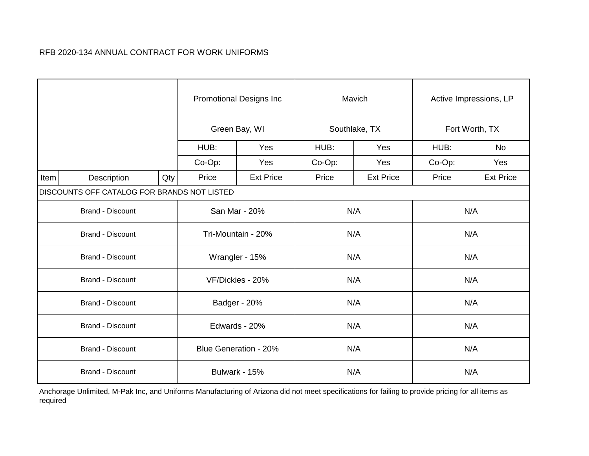|      |                                             |     |        | <b>Promotional Designs Inc</b> |        | Mavich           |        | Active Impressions, LP |
|------|---------------------------------------------|-----|--------|--------------------------------|--------|------------------|--------|------------------------|
|      |                                             |     |        | Green Bay, WI                  |        | Southlake, TX    |        | Fort Worth, TX         |
|      |                                             |     | HUB:   | Yes                            | HUB:   | Yes              | HUB:   | No                     |
|      |                                             |     | Co-Op: | Yes                            | Co-Op: | Yes              | Co-Op: | Yes                    |
| Item | Description                                 | Qty | Price  | <b>Ext Price</b>               | Price  | <b>Ext Price</b> | Price  | <b>Ext Price</b>       |
|      | DISCOUNTS OFF CATALOG FOR BRANDS NOT LISTED |     |        |                                |        |                  |        |                        |
|      | <b>Brand - Discount</b>                     |     |        | San Mar - 20%                  | N/A    |                  |        | N/A                    |
|      | <b>Brand - Discount</b>                     |     |        | Tri-Mountain - 20%             | N/A    |                  |        | N/A                    |
|      | <b>Brand - Discount</b>                     |     |        | Wrangler - 15%                 | N/A    |                  |        | N/A                    |
|      | <b>Brand - Discount</b>                     |     |        | VF/Dickies - 20%               | N/A    |                  |        | N/A                    |
|      | <b>Brand - Discount</b>                     |     |        | Badger - 20%                   | N/A    |                  |        | N/A                    |
|      | <b>Brand - Discount</b>                     |     |        | Edwards - 20%                  | N/A    |                  |        | N/A                    |
|      | <b>Brand - Discount</b>                     |     |        | <b>Blue Generation - 20%</b>   | N/A    |                  |        | N/A                    |
|      | <b>Brand - Discount</b>                     |     |        | Bulwark - 15%                  | N/A    |                  |        | N/A                    |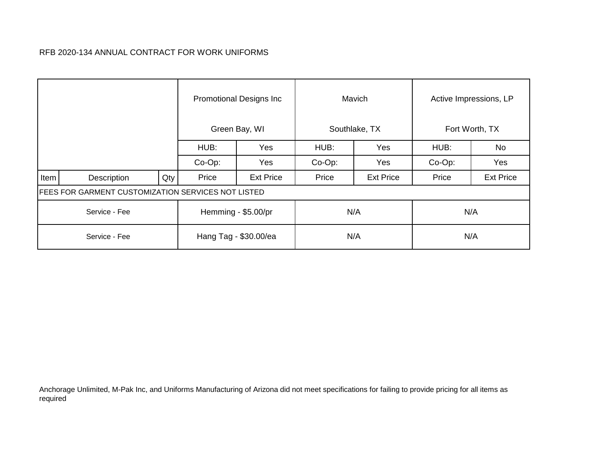|      |                                                           |     |        | <b>Promotional Designs Inc.</b> |           | Mavich           |           | Active Impressions, LP |
|------|-----------------------------------------------------------|-----|--------|---------------------------------|-----------|------------------|-----------|------------------------|
|      |                                                           |     |        | Green Bay, WI                   |           | Southlake, TX    |           | Fort Worth, TX         |
|      |                                                           |     | HUB:   | Yes                             | HUB:      | Yes              | HUB:      | No                     |
|      |                                                           |     | Co-Op: | Yes                             | $Co-Op$ : | Yes              | $Co-Op$ : | Yes                    |
| Item | Description                                               | Qty | Price  | <b>Ext Price</b>                | Price     | <b>Ext Price</b> | Price     | <b>Ext Price</b>       |
|      | <b>FEES FOR GARMENT CUSTOMIZATION SERVICES NOT LISTED</b> |     |        |                                 |           |                  |           |                        |
|      | Service - Fee                                             |     |        | Hemming - \$5.00/pr             | N/A       |                  |           | N/A                    |
|      | Service - Fee                                             |     |        | Hang Tag - \$30.00/ea           | N/A       |                  |           | N/A                    |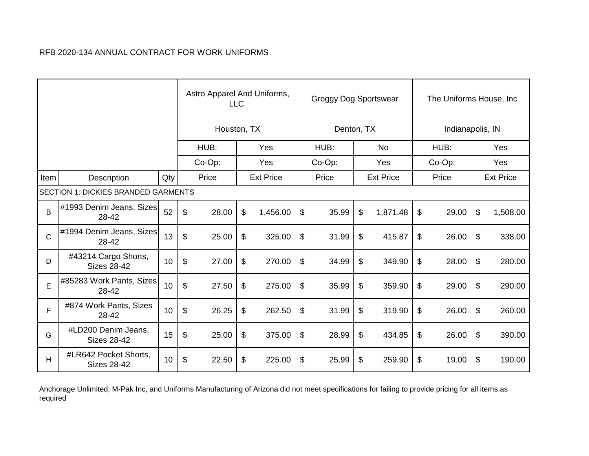|              |                                             |     |       | Astro Apparel And Uniforms,<br><b>LLC</b> |                  | Groggy Dog Sportswear |                  | The Uniforms House, Inc. |                  |
|--------------|---------------------------------------------|-----|-------|-------------------------------------------|------------------|-----------------------|------------------|--------------------------|------------------|
|              |                                             |     |       | Houston, TX                               |                  | Denton, TX            |                  | Indianapolis, IN         |                  |
|              |                                             |     |       | HUB:                                      | Yes              | HUB:                  | <b>No</b>        | HUB:                     | Yes              |
|              |                                             |     |       | Co-Op:                                    | Yes              | $Co-Op$ :             | Yes              | Co-Op:                   | Yes              |
| Item         | Description                                 | Qty |       | Price                                     | <b>Ext Price</b> | Price                 | <b>Ext Price</b> | Price                    | <b>Ext Price</b> |
|              | <b>SECTION 1: DICKIES BRANDED GARMENTS</b>  |     |       |                                           |                  |                       |                  |                          |                  |
| B            | #1993 Denim Jeans, Sizes<br>28-42           | 52  | \$    | 28.00                                     | \$<br>1,456.00   | \$<br>35.99           | \$<br>1,871.48   | \$<br>29.00              | \$<br>1,508.00   |
| $\mathsf{C}$ | #1994 Denim Jeans, Sizes<br>28-42           | 13  | \$    | 25.00                                     | \$<br>325.00     | \$<br>31.99           | \$<br>415.87     | \$<br>26.00              | \$<br>338.00     |
| D            | #43214 Cargo Shorts,<br><b>Sizes 28-42</b>  | 10  | \$    | 27.00                                     | \$<br>270.00     | \$<br>34.99           | \$<br>349.90     | \$<br>28.00              | \$<br>280.00     |
| E            | #85283 Work Pants, Sizes<br>28-42           | 10  | \$    | 27.50                                     | \$<br>275.00     | \$<br>35.99           | \$<br>359.90     | \$<br>29.00              | \$<br>290.00     |
| F            | #874 Work Pants, Sizes<br>28-42             | 10  | $\$\$ | 26.25                                     | \$<br>262.50     | \$<br>31.99           | \$<br>319.90     | \$<br>26.00              | \$<br>260.00     |
| G            | #LD200 Denim Jeans,<br><b>Sizes 28-42</b>   | 15  | \$    | 25.00                                     | \$<br>375.00     | \$<br>28.99           | \$<br>434.85     | \$<br>26.00              | \$<br>390.00     |
| н            | #LR642 Pocket Shorts,<br><b>Sizes 28-42</b> | 10  | \$    | 22.50                                     | \$<br>225.00     | \$<br>25.99           | \$<br>259.90     | \$<br>19.00              | \$<br>190.00     |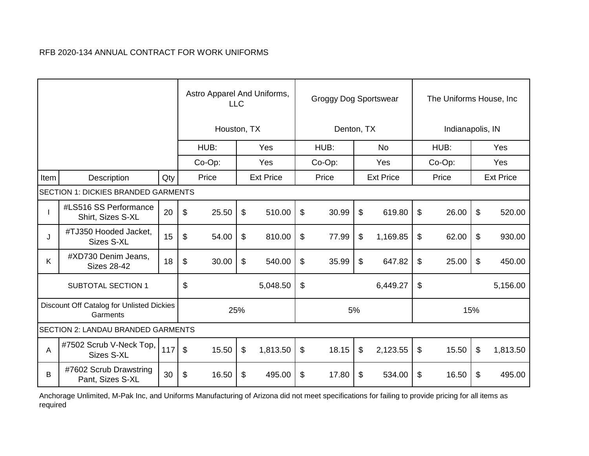|      |                                                       |     |                | Astro Apparel And Uniforms,<br><b>LLC</b> |                  |                | Groggy Dog Sportswear |    |                  | The Uniforms House, Inc. |                  |
|------|-------------------------------------------------------|-----|----------------|-------------------------------------------|------------------|----------------|-----------------------|----|------------------|--------------------------|------------------|
|      |                                                       |     |                | Houston, TX                               |                  |                | Denton, TX            |    |                  | Indianapolis, IN         |                  |
|      |                                                       |     |                | HUB:                                      | Yes              |                | HUB:                  |    | <b>No</b>        | HUB:                     | Yes              |
|      |                                                       |     |                | Co-Op:                                    | Yes              |                | Co-Op:                |    | Yes              | $Co-Op$ :                | Yes              |
| Item | Description                                           | Qty |                | Price                                     | <b>Ext Price</b> |                | Price                 |    | <b>Ext Price</b> | Price                    | <b>Ext Price</b> |
|      | <b>SECTION 1: DICKIES BRANDED GARMENTS</b>            |     |                |                                           |                  |                |                       |    |                  |                          |                  |
|      | #LS516 SS Performance<br>Shirt, Sizes S-XL            | 20  | \$             | 25.50                                     | \$<br>510.00     | \$             | 30.99                 | \$ | 619.80           | \$<br>26.00              | \$<br>520.00     |
| J    | #TJ350 Hooded Jacket,<br>Sizes S-XL                   | 15  | \$             | 54.00                                     | \$<br>810.00     | \$             | 77.99                 | \$ | 1,169.85         | \$<br>62.00              | \$<br>930.00     |
| K    | #XD730 Denim Jeans,<br><b>Sizes 28-42</b>             | 18  | \$             | 30.00                                     | \$<br>540.00     | $\mathfrak{S}$ | 35.99                 | \$ | 647.82           | \$<br>25.00              | \$<br>450.00     |
|      | <b>SUBTOTAL SECTION 1</b>                             |     | \$             |                                           | 5,048.50         | $\$\$          |                       |    | 6,449.27         | \$                       | 5,156.00         |
|      | Discount Off Catalog for Unlisted Dickies<br>Garments |     |                | 25%                                       |                  |                |                       | 5% |                  | 15%                      |                  |
|      | <b>SECTION 2: LANDAU BRANDED GARMENTS</b>             |     |                |                                           |                  |                |                       |    |                  |                          |                  |
| A    | #7502 Scrub V-Neck Top,<br><b>Sizes S-XL</b>          | 117 | $\mathfrak{F}$ | 15.50                                     | \$<br>1,813.50   | $\frac{1}{2}$  | 18.15                 | \$ | 2,123.55         | \$<br>15.50              | \$<br>1,813.50   |
| B    | #7602 Scrub Drawstring<br>Pant, Sizes S-XL            | 30  | \$             | 16.50                                     | \$<br>495.00     | \$             | 17.80                 | \$ | 534.00           | \$<br>16.50              | \$<br>495.00     |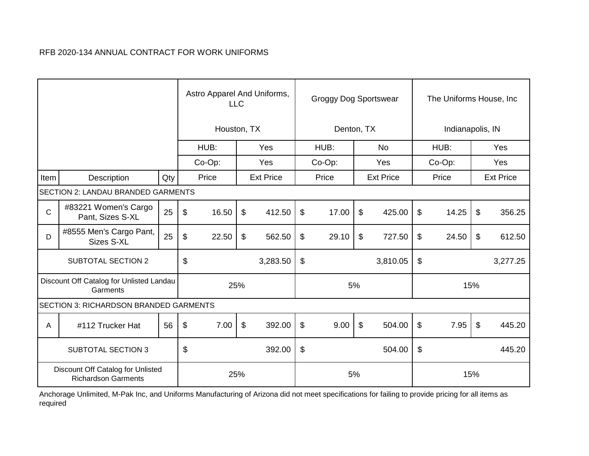|              |                                                                 |     |                           | Astro Apparel And Uniforms,<br><b>LLC</b> |     |                  |                       | <b>Groggy Dog Sportswear</b> |    |                  |       | The Uniforms House, Inc. |                           |                  |
|--------------|-----------------------------------------------------------------|-----|---------------------------|-------------------------------------------|-----|------------------|-----------------------|------------------------------|----|------------------|-------|--------------------------|---------------------------|------------------|
|              |                                                                 |     |                           | Houston, TX                               |     |                  |                       | Denton, TX                   |    |                  |       | Indianapolis, IN         |                           |                  |
|              |                                                                 |     |                           | HUB:                                      |     | Yes              |                       | HUB:                         |    | <b>No</b>        |       | HUB:                     |                           | Yes              |
|              |                                                                 |     |                           | $Co-Op$ :                                 |     | Yes              |                       | Co-Op:                       |    | Yes              |       | $Co-Op$ :                |                           | Yes              |
| Item         | Description                                                     | Qty |                           | Price                                     |     | <b>Ext Price</b> |                       | Price                        |    | <b>Ext Price</b> |       | Price                    |                           | <b>Ext Price</b> |
|              | SECTION 2: LANDAU BRANDED GARMENTS                              |     |                           |                                           |     |                  |                       |                              |    |                  |       |                          |                           |                  |
| $\mathsf{C}$ | #83221 Women's Cargo<br>Pant, Sizes S-XL                        | 25  | $\boldsymbol{\theta}$     | 16.50                                     | \$  | 412.50           | \$                    | 17.00                        | \$ | 425.00           | \$    | 14.25                    | $\boldsymbol{\mathsf{s}}$ | 356.25           |
| D            | #8555 Men's Cargo Pant,<br>Sizes S-XL                           | 25  | \$                        | 22.50                                     | \$  | 562.50           | \$                    | 29.10                        | \$ | 727.50           | $\$\$ | 24.50                    | $\boldsymbol{\mathsf{s}}$ | 612.50           |
|              | <b>SUBTOTAL SECTION 2</b>                                       |     | \$                        |                                           |     | 3,283.50         | $\$\$                 |                              |    | 3,810.05         | $\$\$ |                          |                           | 3,277.25         |
|              | Discount Off Catalog for Unlisted Landau<br>Garments            |     |                           |                                           | 25% |                  |                       |                              | 5% |                  |       |                          | 15%                       |                  |
|              | <b>SECTION 3: RICHARDSON BRANDED GARMENTS</b>                   |     |                           |                                           |     |                  |                       |                              |    |                  |       |                          |                           |                  |
| A            | #112 Trucker Hat                                                | 56  | $\boldsymbol{\mathsf{S}}$ | 7.00                                      | \$  | 392.00           | $\$\$                 | 9.00                         | \$ | 504.00           | \$    | 7.95                     | $\boldsymbol{\mathsf{s}}$ | 445.20           |
|              | <b>SUBTOTAL SECTION 3</b>                                       |     | \$                        |                                           |     | 392.00           | $\boldsymbol{\theta}$ |                              |    | 504.00           | \$    |                          |                           | 445.20           |
|              | Discount Off Catalog for Unlisted<br><b>Richardson Garments</b> |     |                           |                                           | 25% |                  |                       |                              | 5% |                  |       |                          | 15%                       |                  |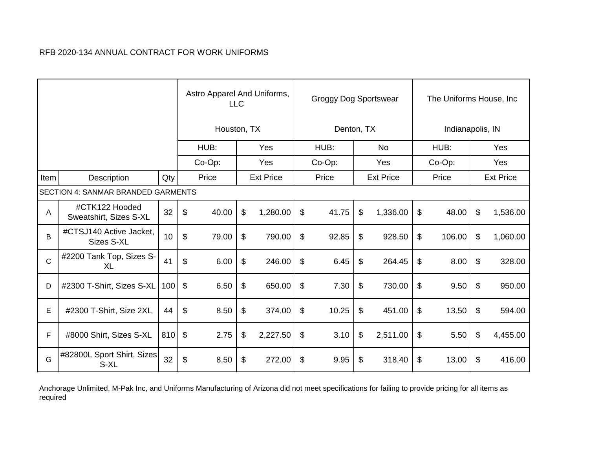|              |                                           |     |                           | Astro Apparel And Uniforms, | <b>LLC</b> |                  |                            | Groggy Dog Sportswear |                  | The Uniforms House, Inc |                  |
|--------------|-------------------------------------------|-----|---------------------------|-----------------------------|------------|------------------|----------------------------|-----------------------|------------------|-------------------------|------------------|
|              |                                           |     |                           | Houston, TX                 |            |                  |                            | Denton, TX            |                  | Indianapolis, IN        |                  |
|              |                                           |     |                           | HUB:                        |            | Yes              |                            | HUB:                  | <b>No</b>        | HUB:                    | Yes              |
|              |                                           |     |                           | Co-Op:                      |            | Yes              |                            | Co-Op:                | Yes              | Co-Op:                  | Yes              |
| Item         | Description                               | Qty |                           | Price                       |            | <b>Ext Price</b> |                            | Price                 | <b>Ext Price</b> | Price                   | <b>Ext Price</b> |
|              | <b>SECTION 4: SANMAR BRANDED GARMENTS</b> |     |                           |                             |            |                  |                            |                       |                  |                         |                  |
| A            | #CTK122 Hooded<br>Sweatshirt, Sizes S-XL  | 32  | \$                        | 40.00                       | \$         | 1,280.00         | \$                         | 41.75                 | \$<br>1,336.00   | \$<br>48.00             | \$<br>1,536.00   |
| B            | #CTSJ140 Active Jacket,<br>Sizes S-XL     | 10  | $\boldsymbol{\mathsf{S}}$ | 79.00                       | \$         | 790.00           | \$                         | 92.85                 | \$<br>928.50     | \$<br>106.00            | \$<br>1,060.00   |
| $\mathsf{C}$ | #2200 Tank Top, Sizes S-<br>XL            | 41  | \$                        | 6.00                        | \$         | 246.00           | \$                         | 6.45                  | \$<br>264.45     | \$<br>8.00              | \$<br>328.00     |
| D            | #2300 T-Shirt, Sizes S-XL                 | 100 | $\boldsymbol{\theta}$     | 6.50                        | \$         | 650.00           | $\boldsymbol{\mathsf{\$}}$ | 7.30                  | \$<br>730.00     | \$<br>9.50              | \$<br>950.00     |
| E            | #2300 T-Shirt, Size 2XL                   | 44  | $\mathfrak{F}$            | 8.50                        | \$         | 374.00           | $\boldsymbol{\mathsf{S}}$  | 10.25                 | \$<br>451.00     | \$<br>13.50             | \$<br>594.00     |
| F            | #8000 Shirt, Sizes S-XL                   | 810 | \$                        | 2.75                        | \$         | 2,227.50         | \$                         | 3.10                  | \$<br>2,511.00   | \$<br>5.50              | \$<br>4,455.00   |
| G            | #82800L Sport Shirt, Sizes<br>S-XL        | 32  | \$                        | 8.50                        | \$         | 272.00           | \$                         | 9.95                  | \$<br>318.40     | \$<br>13.00             | \$<br>416.00     |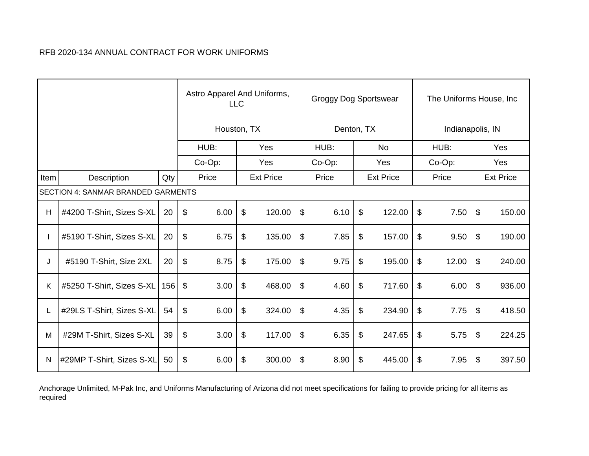|      |                                           |     |                            | Astro Apparel And Uniforms,<br><b>LLC</b> |                  |                            | Groggy Dog Sportswear |                  |               | The Uniforms House, Inc. |                  |
|------|-------------------------------------------|-----|----------------------------|-------------------------------------------|------------------|----------------------------|-----------------------|------------------|---------------|--------------------------|------------------|
|      |                                           |     |                            | Houston, TX                               |                  |                            | Denton, TX            |                  |               | Indianapolis, IN         |                  |
|      |                                           |     |                            | HUB:                                      | Yes              |                            | HUB:                  | <b>No</b>        |               | HUB:                     | Yes              |
|      |                                           |     |                            | Co-Op:                                    | Yes              |                            | $Co-Op$ :             | Yes              |               | Co-Op:                   | Yes              |
| Item | Description                               | Qty |                            | Price                                     | <b>Ext Price</b> |                            | Price                 | <b>Ext Price</b> |               | Price                    | <b>Ext Price</b> |
|      | <b>SECTION 4: SANMAR BRANDED GARMENTS</b> |     |                            |                                           |                  |                            |                       |                  |               |                          |                  |
| H    | #4200 T-Shirt, Sizes S-XL                 | 20  | $\sqrt[6]{\frac{1}{2}}$    | 6.00                                      | \$<br>120.00     | $\boldsymbol{\mathsf{S}}$  | 6.10                  | \$<br>122.00     | $\$\$         | 7.50                     | \$<br>150.00     |
|      | #5190 T-Shirt, Sizes S-XL                 | 20  | $\sqrt[6]{\frac{1}{2}}$    | 6.75                                      | \$<br>135.00     | \$                         | 7.85                  | \$<br>157.00     | \$            | 9.50                     | \$<br>190.00     |
| J    | #5190 T-Shirt, Size 2XL                   | 20  | \$                         | 8.75                                      | \$<br>175.00     | $\boldsymbol{\mathsf{\$}}$ | 9.75                  | \$<br>195.00     | \$            | 12.00                    | \$<br>240.00     |
| K    | #5250 T-Shirt, Sizes S-XL                 | 156 | \$                         | 3.00                                      | \$<br>468.00     | $\boldsymbol{\mathsf{\$}}$ | 4.60                  | \$<br>717.60     | \$            | 6.00                     | \$<br>936.00     |
|      | #29LS T-Shirt, Sizes S-XL                 | 54  | $\boldsymbol{\mathsf{\$}}$ | 6.00                                      | \$<br>324.00     | \$                         | 4.35                  | \$<br>234.90     | $\frac{1}{2}$ | 7.75                     | \$<br>418.50     |
| M    | #29M T-Shirt, Sizes S-XL                  | 39  | \$                         | 3.00                                      | \$<br>117.00     | $\boldsymbol{\mathsf{S}}$  | 6.35                  | \$<br>247.65     | \$            | 5.75                     | \$<br>224.25     |
| N    | #29MP T-Shirt, Sizes S-XL                 | 50  | $\$\$                      | 6.00                                      | \$<br>300.00     | \$                         | 8.90                  | \$<br>445.00     | \$            | 7.95                     | \$<br>397.50     |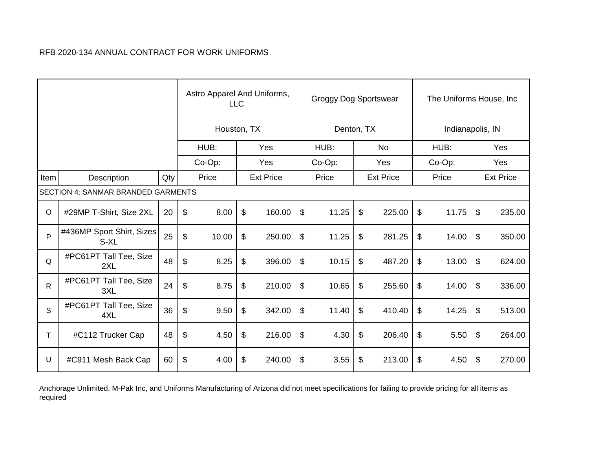|              |                                           |     | Astro Apparel And Uniforms, | <b>LLC</b> |                  | Groggy Dog Sportswear |                  |       | The Uniforms House, Inc |                  |
|--------------|-------------------------------------------|-----|-----------------------------|------------|------------------|-----------------------|------------------|-------|-------------------------|------------------|
|              |                                           |     | Houston, TX                 |            |                  | Denton, TX            |                  |       | Indianapolis, IN        |                  |
|              |                                           |     | HUB:                        |            | Yes              | HUB:                  | N <sub>o</sub>   |       | HUB:                    | Yes              |
|              |                                           |     | Co-Op:                      |            | Yes              | Co-Op:                | Yes              |       | Co-Op:                  | Yes              |
| Item         | Description                               | Qty | Price                       |            | <b>Ext Price</b> | Price                 | <b>Ext Price</b> |       | Price                   | <b>Ext Price</b> |
|              | <b>SECTION 4: SANMAR BRANDED GARMENTS</b> |     |                             |            |                  |                       |                  |       |                         |                  |
| $\circ$      | #29MP T-Shirt, Size 2XL                   | 20  | \$<br>8.00                  | \$         | 160.00           | \$<br>11.25           | \$<br>225.00     | \$    | 11.75                   | \$<br>235.00     |
| P            | #436MP Sport Shirt, Sizes<br>S-XL         | 25  | \$<br>10.00                 | \$         | 250.00           | \$<br>11.25           | \$<br>281.25     | \$    | 14.00                   | \$<br>350.00     |
| Q            | #PC61PT Tall Tee, Size<br>2XL             | 48  | \$<br>8.25                  | \$         | 396.00           | \$<br>10.15           | \$<br>487.20     | \$    | 13.00                   | \$<br>624.00     |
| $\mathsf{R}$ | #PC61PT Tall Tee, Size<br>3XL             | 24  | \$<br>8.75                  | \$         | 210.00           | \$<br>10.65           | \$<br>255.60     | \$    | 14.00                   | \$<br>336.00     |
| S            | #PC61PT Tall Tee, Size<br>4XL             | 36  | \$<br>9.50                  | \$         | 342.00           | \$<br>11.40           | \$<br>410.40     | $\$\$ | 14.25                   | \$<br>513.00     |
| Τ            | #C112 Trucker Cap                         | 48  | \$<br>4.50                  | \$         | 216.00           | \$<br>4.30            | \$<br>206.40     | \$    | 5.50                    | \$<br>264.00     |
| U            | #C911 Mesh Back Cap                       | 60  | \$<br>4.00                  | \$         | 240.00           | \$<br>3.55            | \$<br>213.00     | \$    | 4.50                    | \$<br>270.00     |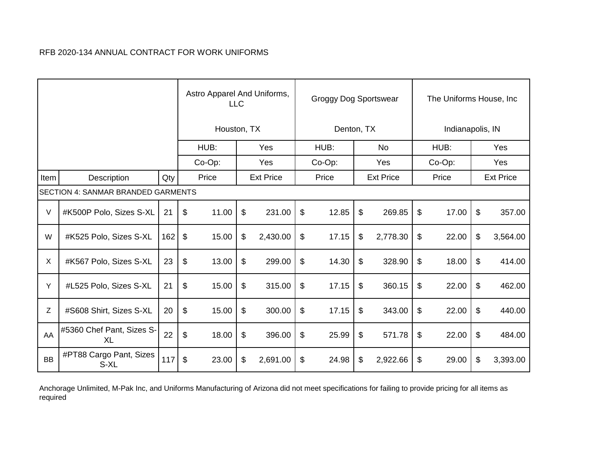|           |                                           |     |                           | Astro Apparel And Uniforms,<br><b>LLC</b> |    | Groggy Dog Sportswear |                            |        |    | The Uniforms House, Inc |    |        |    |                  |
|-----------|-------------------------------------------|-----|---------------------------|-------------------------------------------|----|-----------------------|----------------------------|--------|----|-------------------------|----|--------|----|------------------|
|           |                                           |     | Houston, TX               |                                           |    |                       | Denton, TX                 |        |    | Indianapolis, IN        |    |        |    |                  |
|           |                                           |     |                           | HUB:                                      |    | Yes                   |                            | HUB:   |    | <b>No</b>               |    | HUB:   |    | Yes              |
|           |                                           |     | Co-Op:                    |                                           |    | Yes                   |                            | Co-Op: |    | Yes                     |    | Co-Op: |    | Yes              |
| Item      | Description                               | Qty |                           | Price                                     |    | <b>Ext Price</b>      |                            | Price  |    | <b>Ext Price</b>        |    | Price  |    | <b>Ext Price</b> |
|           | <b>SECTION 4: SANMAR BRANDED GARMENTS</b> |     |                           |                                           |    |                       |                            |        |    |                         |    |        |    |                  |
| $\vee$    | #K500P Polo, Sizes S-XL                   | 21  | \$                        | 11.00                                     | \$ | 231.00                | \$                         | 12.85  | \$ | 269.85                  | \$ | 17.00  | \$ | 357.00           |
| W         | #K525 Polo, Sizes S-XL                    | 162 | $\boldsymbol{\mathsf{S}}$ | 15.00                                     | \$ | 2,430.00              | $\frac{1}{2}$              | 17.15  | \$ | 2,778.30                | \$ | 22.00  | \$ | 3,564.00         |
| X         | #K567 Polo, Sizes S-XL                    | 23  | \$                        | 13.00                                     | \$ | 299.00                | $\boldsymbol{\mathsf{S}}$  | 14.30  | \$ | 328.90                  | \$ | 18.00  | \$ | 414.00           |
| Y         | #L525 Polo, Sizes S-XL                    | 21  | \$                        | 15.00                                     | \$ | 315.00                | $\boldsymbol{\mathsf{\$}}$ | 17.15  | \$ | 360.15                  | \$ | 22.00  | \$ | 462.00           |
| Ζ         | #S608 Shirt, Sizes S-XL                   | 20  | $\mathfrak{F}$            | 15.00                                     | \$ | 300.00                | $\boldsymbol{\mathsf{S}}$  | 17.15  | \$ | 343.00                  | \$ | 22.00  | \$ | 440.00           |
| AA        | #5360 Chef Pant, Sizes S-<br><b>XL</b>    | 22  | \$                        | 18.00                                     | \$ | 396.00                | \$                         | 25.99  | \$ | 571.78                  | \$ | 22.00  | \$ | 484.00           |
| <b>BB</b> | #PT88 Cargo Pant, Sizes<br>S-XL           | 117 | $\sqrt[6]{\frac{1}{2}}$   | 23.00                                     | \$ | 2,691.00              | \$                         | 24.98  | \$ | 2,922.66                | \$ | 29.00  | \$ | 3,393.00         |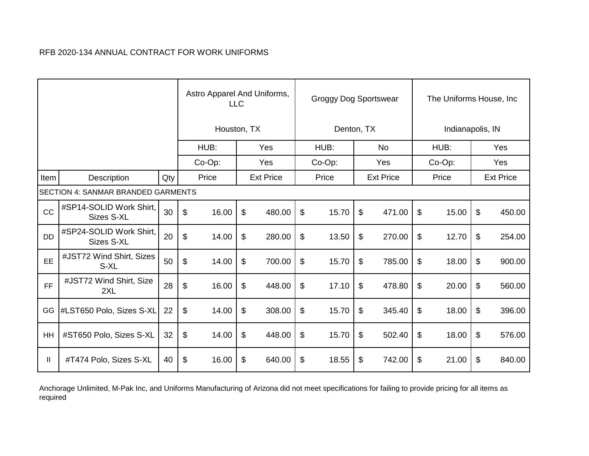|           |                                           |     | Astro Apparel And Uniforms,<br><b>LLC</b> |        |    |                  |                           | Groggy Dog Sportswear |     |                  |        | The Uniforms House, Inc |     |                  |  |  |
|-----------|-------------------------------------------|-----|-------------------------------------------|--------|----|------------------|---------------------------|-----------------------|-----|------------------|--------|-------------------------|-----|------------------|--|--|
|           |                                           |     | Houston, TX                               |        |    |                  |                           | Denton, TX            |     |                  |        | Indianapolis, IN        |     |                  |  |  |
|           |                                           |     |                                           | HUB:   |    | Yes              |                           | HUB:                  |     | <b>No</b>        |        | HUB:                    |     | Yes              |  |  |
|           |                                           |     |                                           | Co-Op: |    | Yes              | Co-Op:                    |                       | Yes |                  | Co-Op: |                         | Yes |                  |  |  |
| Item      | Description                               | Qty |                                           | Price  |    | <b>Ext Price</b> |                           | Price                 |     | <b>Ext Price</b> |        | Price                   |     | <b>Ext Price</b> |  |  |
|           | <b>SECTION 4: SANMAR BRANDED GARMENTS</b> |     |                                           |        |    |                  |                           |                       |     |                  |        |                         |     |                  |  |  |
| CC        | #SP14-SOLID Work Shirt,<br>Sizes S-XL     | 30  | \$                                        | 16.00  | \$ | 480.00           | \$                        | 15.70                 | \$  | 471.00           | \$     | 15.00                   | \$  | 450.00           |  |  |
| <b>DD</b> | #SP24-SOLID Work Shirt,<br>Sizes S-XL     | 20  | \$                                        | 14.00  | \$ | 280.00           | \$                        | 13.50                 | \$  | 270.00           | \$     | 12.70                   | \$  | 254.00           |  |  |
| EE        | #JST72 Wind Shirt, Sizes<br>S-XL          | 50  | \$                                        | 14.00  | \$ | 700.00           | \$                        | 15.70                 | \$  | 785.00           | \$     | 18.00                   | \$  | 900.00           |  |  |
| <b>FF</b> | #JST72 Wind Shirt, Size<br>2XL            | 28  | \$                                        | 16.00  | \$ | 448.00           | \$                        | 17.10                 | \$  | 478.80           | \$     | 20.00                   | \$  | 560.00           |  |  |
| GG        | #LST650 Polo, Sizes S-XL                  | 22  | $\$\$                                     | 14.00  | \$ | 308.00           | $\boldsymbol{\mathsf{S}}$ | 15.70                 | \$  | 345.40           | \$     | 18.00                   | \$  | 396.00           |  |  |
| <b>HH</b> | #ST650 Polo, Sizes S-XL                   | 32  | \$                                        | 14.00  | \$ | 448.00           | \$                        | 15.70                 | \$  | 502.40           | \$     | 18.00                   | \$  | 576.00           |  |  |
| Ш         | #T474 Polo, Sizes S-XL                    | 40  | \$                                        | 16.00  | \$ | 640.00           | \$                        | 18.55                 | \$  | 742.00           | \$     | 21.00                   | \$  | 840.00           |  |  |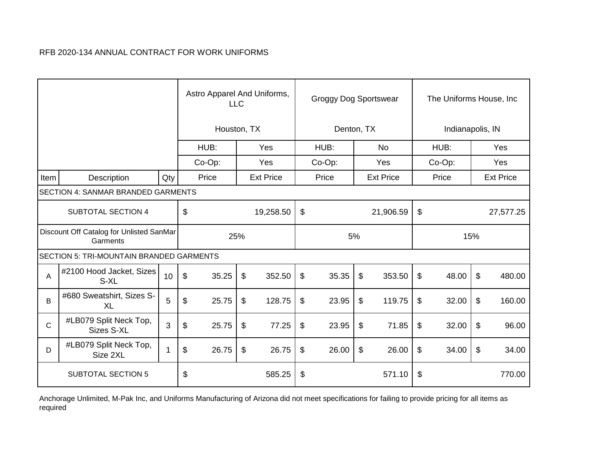|             |                                                      |     | Astro Apparel And Uniforms,<br><b>LLC</b> |           |       |                  |                | <b>Groggy Dog Sportswear</b> |                  |           |                         | The Uniforms House, Inc. |                           |                  |  |  |
|-------------|------------------------------------------------------|-----|-------------------------------------------|-----------|-------|------------------|----------------|------------------------------|------------------|-----------|-------------------------|--------------------------|---------------------------|------------------|--|--|
|             |                                                      |     | Houston, TX                               |           |       |                  | Denton, TX     |                              |                  |           | Indianapolis, IN        |                          |                           |                  |  |  |
|             |                                                      |     |                                           | HUB:      |       | Yes              |                | HUB:                         |                  | No.       | HUB:                    |                          |                           | Yes              |  |  |
|             |                                                      |     |                                           | $Co-Op$ : |       | Yes              |                | $Co-Op$ :                    |                  | Yes       |                         | Co-Op:                   |                           | Yes              |  |  |
| Item        | Description                                          | Qty |                                           | Price     |       | <b>Ext Price</b> |                | Price                        | <b>Ext Price</b> |           | Price                   |                          |                           | <b>Ext Price</b> |  |  |
|             | SECTION 4: SANMAR BRANDED GARMENTS                   |     |                                           |           |       |                  |                |                              |                  |           |                         |                          |                           |                  |  |  |
|             | <b>SUBTOTAL SECTION 4</b>                            |     | \$                                        |           |       | 19,258.50        | $\$\$          |                              |                  | 21,906.59 | $\mathfrak{S}$          |                          |                           | 27,577.25        |  |  |
|             | Discount Off Catalog for Unlisted SanMar<br>Garments |     | 25%                                       |           |       |                  |                |                              | 5%               |           |                         |                          | 15%                       |                  |  |  |
|             | <b>SECTION 5: TRI-MOUNTAIN BRANDED GARMENTS</b>      |     |                                           |           |       |                  |                |                              |                  |           |                         |                          |                           |                  |  |  |
| Α           | #2100 Hood Jacket, Sizes<br>S-XL                     | 10  | $\mathfrak{F}$                            | 35.25     | $\$\$ | 352.50           | $\frac{1}{2}$  | 35.35                        | $\$\$            | 353.50    | $\mathfrak{P}$          | 48.00                    | $\boldsymbol{\mathsf{S}}$ | 480.00           |  |  |
| B           | #680 Sweatshirt, Sizes S-<br><b>XL</b>               | 5   | \$                                        | 25.75     | \$    | 128.75           | $\mathfrak{S}$ | 23.95                        | \$               | 119.75    | $\sqrt[6]{\frac{1}{2}}$ | 32.00                    | \$                        | 160.00           |  |  |
| $\mathbf C$ | #LB079 Split Neck Top,<br><b>Sizes S-XL</b>          | 3   | $\boldsymbol{\mathsf{S}}$                 | 25.75     | \$    | 77.25            | \$             | 23.95                        | \$               | 71.85     | \$                      | 32.00                    | \$                        | 96.00            |  |  |
| D           | #LB079 Split Neck Top,<br>Size 2XL                   | 1   | \$                                        | 26.75     | \$    | 26.75            | \$             | 26.00                        | \$               | 26.00     | \$                      | 34.00                    | $\mathfrak{S}$            | 34.00            |  |  |
|             | <b>SUBTOTAL SECTION 5</b>                            |     | \$<br>585.25                              |           |       |                  | \$<br>571.10   |                              |                  |           | \$<br>770.00            |                          |                           |                  |  |  |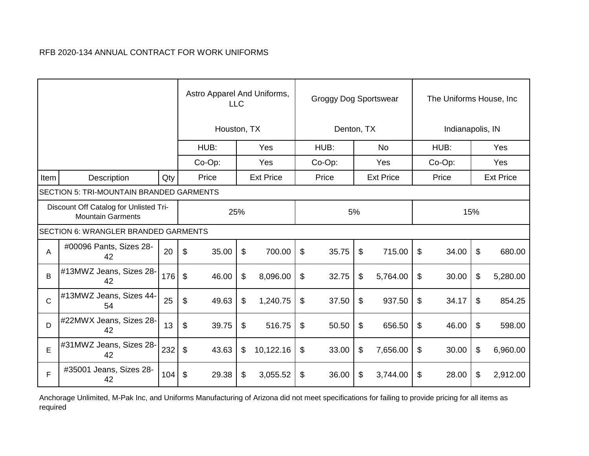|                                                                    |                                             |     |                           | Astro Apparel And Uniforms,<br><b>LLC</b> |    |                  |                           | <b>Groggy Dog Sportswear</b> |                  |          |       | The Uniforms House, Inc. |                  |            |  |  |
|--------------------------------------------------------------------|---------------------------------------------|-----|---------------------------|-------------------------------------------|----|------------------|---------------------------|------------------------------|------------------|----------|-------|--------------------------|------------------|------------|--|--|
|                                                                    |                                             |     | Houston, TX               |                                           |    |                  |                           | Denton, TX                   |                  |          |       | Indianapolis, IN         |                  |            |  |  |
|                                                                    |                                             |     |                           | HUB:                                      |    | Yes              | HUB:                      |                              |                  | No.      |       | HUB:                     |                  | <b>Yes</b> |  |  |
|                                                                    |                                             |     | $Co-Op$ :                 |                                           |    | Yes              |                           | Co-Op:                       |                  | Yes      |       | $Co-Op$ :                |                  | Yes        |  |  |
| Item                                                               | Description                                 | Qty |                           | Price                                     |    | <b>Ext Price</b> |                           | Price                        | <b>Ext Price</b> |          | Price |                          | <b>Ext Price</b> |            |  |  |
|                                                                    | SECTION 5: TRI-MOUNTAIN BRANDED GARMENTS    |     |                           |                                           |    |                  |                           |                              |                  |          |       |                          |                  |            |  |  |
| Discount Off Catalog for Unlisted Tri-<br><b>Mountain Garments</b> |                                             |     |                           | 25%                                       |    | 5%               |                           |                              |                  | 15%      |       |                          |                  |            |  |  |
|                                                                    | <b>SECTION 6: WRANGLER BRANDED GARMENTS</b> |     |                           |                                           |    |                  |                           |                              |                  |          |       |                          |                  |            |  |  |
| Α                                                                  | #00096 Pants, Sizes 28-<br>42               | 20  | $\mathfrak{S}$            | 35.00                                     | \$ | 700.00           | $\sqrt[6]{\frac{1}{2}}$   | 35.75                        | \$               | 715.00   | \$    | 34.00                    | \$               | 680.00     |  |  |
| B                                                                  | #13MWZ Jeans, Sizes 28-<br>42               | 176 | $\$\$                     | 46.00                                     | \$ | 8,096.00         | $\boldsymbol{\mathsf{S}}$ | 32.75                        | \$               | 5,764.00 | \$    | 30.00                    | \$               | 5,280.00   |  |  |
| $\mathsf{C}$                                                       | #13MWZ Jeans, Sizes 44-<br>54               | 25  | $\boldsymbol{\mathsf{S}}$ | 49.63                                     | \$ | 1,240.75         | $\sqrt[6]{\frac{1}{2}}$   | 37.50                        | \$               | 937.50   | \$    | 34.17                    | \$               | 854.25     |  |  |
| D                                                                  | #22MWX Jeans, Sizes 28-<br>42               | 13  | $\boldsymbol{\mathsf{S}}$ | 39.75                                     | \$ | 516.75           | \$                        | 50.50                        | \$               | 656.50   | \$    | 46.00                    | \$               | 598.00     |  |  |
| E                                                                  | #31MWZ Jeans, Sizes 28-<br>42               | 232 | $\boldsymbol{\theta}$     | 43.63                                     | \$ | 10,122.16        | \$                        | 33.00                        | \$               | 7,656.00 | \$    | 30.00                    | \$               | 6,960.00   |  |  |
| F                                                                  | #35001 Jeans, Sizes 28-<br>42               | 104 | \$                        | 29.38                                     | \$ | 3,055.52         | \$                        | 36.00                        | \$               | 3,744.00 | \$    | 28.00                    | \$               | 2,912.00   |  |  |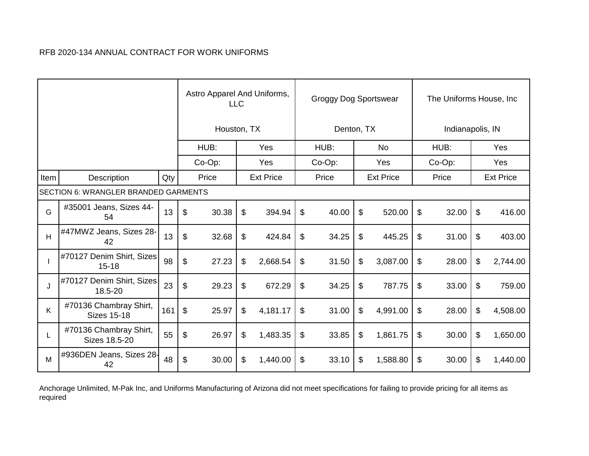|      |                                              |     |                           | Astro Apparel And Uniforms,<br><b>LLC</b> |    | Groggy Dog Sportswear |                            |            |    | The Uniforms House, Inc. |    |                  |    |                  |
|------|----------------------------------------------|-----|---------------------------|-------------------------------------------|----|-----------------------|----------------------------|------------|----|--------------------------|----|------------------|----|------------------|
|      |                                              |     | Houston, TX               |                                           |    |                       |                            | Denton, TX |    |                          |    | Indianapolis, IN |    |                  |
|      |                                              |     |                           | HUB:                                      |    | Yes                   |                            | HUB:       |    | <b>No</b>                |    | HUB:             |    | Yes              |
|      |                                              |     |                           | Co-Op:                                    |    | Yes                   |                            | Co-Op:     |    | Yes                      |    | Co-Op:           |    | Yes              |
| Item | Description                                  | Qty |                           | Price                                     |    | <b>Ext Price</b>      |                            | Price      |    | <b>Ext Price</b>         |    | Price            |    | <b>Ext Price</b> |
|      | <b>SECTION 6: WRANGLER BRANDED GARMENTS</b>  |     |                           |                                           |    |                       |                            |            |    |                          |    |                  |    |                  |
| G    | #35001 Jeans, Sizes 44-<br>54                | 13  | \$                        | 30.38                                     | \$ | 394.94                | \$                         | 40.00      | \$ | 520.00                   | \$ | 32.00            | \$ | 416.00           |
| H    | #47MWZ Jeans, Sizes 28-<br>42                | 13  | \$                        | 32.68                                     | \$ | 424.84                | \$                         | 34.25      | \$ | 445.25                   | \$ | 31.00            | \$ | 403.00           |
|      | #70127 Denim Shirt, Sizes<br>$15 - 18$       | 98  | \$                        | 27.23                                     | \$ | 2,668.54              | $\boldsymbol{\mathsf{\$}}$ | 31.50      | \$ | 3,087.00                 | \$ | 28.00            | \$ | 2,744.00         |
| J    | #70127 Denim Shirt, Sizes<br>18.5-20         | 23  | \$                        | 29.23                                     | \$ | 672.29                | \$                         | 34.25      | \$ | 787.75                   | \$ | 33.00            | \$ | 759.00           |
| K    | #70136 Chambray Shirt,<br><b>Sizes 15-18</b> | 161 | $\boldsymbol{\mathsf{S}}$ | 25.97                                     | \$ | 4,181.17              | $\boldsymbol{\mathsf{S}}$  | 31.00      | \$ | 4,991.00                 | \$ | 28.00            | \$ | 4,508.00         |
| L    | #70136 Chambray Shirt,<br>Sizes 18.5-20      | 55  | \$                        | 26.97                                     | \$ | 1,483.35              | \$                         | 33.85      | \$ | 1,861.75                 | \$ | 30.00            | \$ | 1,650.00         |
| м    | #936DEN Jeans, Sizes 28-<br>42               | 48  | \$                        | 30.00                                     | \$ | 1,440.00              | \$                         | 33.10      | \$ | 1,588.80                 | \$ | 30.00            | \$ | 1,440.00         |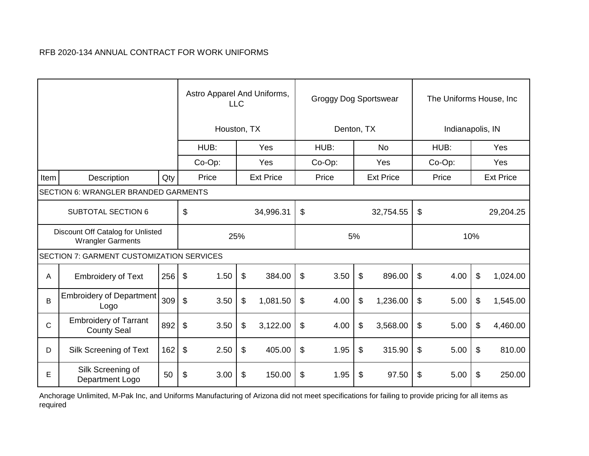|                                                               |                                                    |     |       |             | Astro Apparel And Uniforms,<br><b>LLC</b> |           |                           | <b>Groggy Dog Sportswear</b> |    |          |                           | The Uniforms House, Inc. |                           |          |  |
|---------------------------------------------------------------|----------------------------------------------------|-----|-------|-------------|-------------------------------------------|-----------|---------------------------|------------------------------|----|----------|---------------------------|--------------------------|---------------------------|----------|--|
|                                                               |                                                    |     |       | Houston, TX |                                           |           |                           | Denton, TX                   |    |          |                           | Indianapolis, IN         |                           |          |  |
|                                                               |                                                    |     |       | HUB:        | Yes                                       | HUB:      |                           | No.                          |    | HUB:     |                           |                          | Yes                       |          |  |
|                                                               |                                                    |     |       | $Co-Op$ :   |                                           | Yes       |                           | $Co-Op$ :                    |    | Yes      |                           | $Co-Op$ :                |                           | Yes      |  |
| Item                                                          | Description                                        | Qty |       | Price       | <b>Ext Price</b>                          |           | <b>Ext Price</b><br>Price |                              |    |          | Price                     |                          | <b>Ext Price</b>          |          |  |
|                                                               | SECTION 6: WRANGLER BRANDED GARMENTS               |     |       |             |                                           |           |                           |                              |    |          |                           |                          |                           |          |  |
|                                                               | <b>SUBTOTAL SECTION 6</b>                          |     | \$    |             |                                           | 34,996.31 | $\boldsymbol{\mathsf{S}}$ | 32,754.55                    |    |          | \$                        |                          | 29,204.25                 |          |  |
| Discount Off Catalog for Unlisted<br><b>Wrangler Garments</b> |                                                    |     |       | 25%         |                                           |           | 5%                        |                              |    |          | 10%                       |                          |                           |          |  |
|                                                               | <b>SECTION 7: GARMENT CUSTOMIZATION SERVICES</b>   |     |       |             |                                           |           |                           |                              |    |          |                           |                          |                           |          |  |
| A                                                             | <b>Embroidery of Text</b>                          | 256 | \$    | 1.50        | $\$\$                                     | 384.00    | $\$\$                     | 3.50                         | \$ | 896.00   | $\boldsymbol{\mathsf{S}}$ | 4.00                     | $\boldsymbol{\mathsf{S}}$ | 1,024.00 |  |
| B                                                             | <b>Embroidery of Department</b><br>Logo            | 309 | \$    | 3.50        | \$                                        | 1,081.50  | \$                        | 4.00                         | \$ | 1,236.00 | \$                        | 5.00                     | \$                        | 1,545.00 |  |
| $\mathsf{C}$                                                  | <b>Embroidery of Tarrant</b><br><b>County Seal</b> | 892 | $\$\$ | 3.50        | \$                                        | 3,122.00  | \$                        | 4.00                         | \$ | 3,568.00 | \$                        | 5.00                     | \$                        | 4,460.00 |  |
| D                                                             | Silk Screening of Text                             | 162 | $\$\$ | 2.50        | \$                                        | 405.00    | \$                        | 1.95                         | \$ | 315.90   | \$                        | 5.00                     | \$                        | 810.00   |  |
| E                                                             | Silk Screening of<br>Department Logo               | 50  | \$    | 3.00        | 150.00                                    | \$        | 1.95                      | \$<br>97.50                  |    | \$       | 5.00                      | \$                       | 250.00                    |          |  |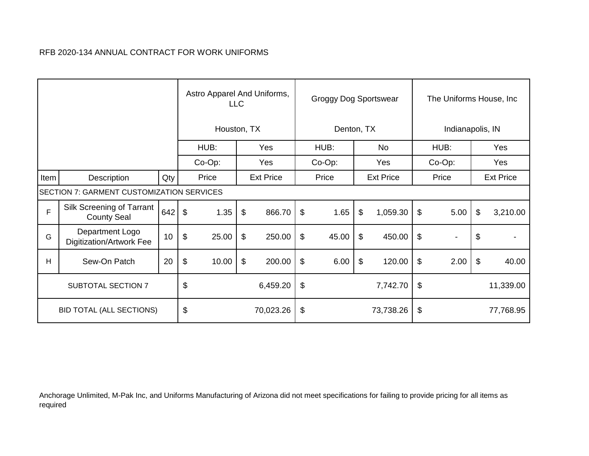|                           |                                                  |     |                           | Astro Apparel And Uniforms,<br><b>LLC</b> |                           |                  |                           | <b>Groggy Dog Sportswear</b> |     |                  |                         | The Uniforms House, Inc. |           |                  |  |
|---------------------------|--------------------------------------------------|-----|---------------------------|-------------------------------------------|---------------------------|------------------|---------------------------|------------------------------|-----|------------------|-------------------------|--------------------------|-----------|------------------|--|
|                           |                                                  |     |                           | Houston, TX                               |                           |                  |                           | Denton, TX                   |     | Indianapolis, IN |                         |                          |           |                  |  |
|                           |                                                  |     |                           | HUB:                                      |                           | Yes              |                           | HUB:                         |     | No.              |                         | HUB:                     |           | Yes              |  |
|                           |                                                  |     |                           | Co-Op:                                    |                           | Yes              |                           | Co-Op:                       | Yes |                  | Co-Op:                  |                          | Yes       |                  |  |
| Item                      | Description                                      | Qty |                           | Price                                     |                           | <b>Ext Price</b> |                           | Price                        |     | <b>Ext Price</b> |                         | Price                    |           | <b>Ext Price</b> |  |
|                           | <b>SECTION 7: GARMENT CUSTOMIZATION SERVICES</b> |     |                           |                                           |                           |                  |                           |                              |     |                  |                         |                          |           |                  |  |
| F                         | Silk Screening of Tarrant<br><b>County Seal</b>  | 642 | $\boldsymbol{\mathsf{S}}$ | 1.35                                      | $\boldsymbol{\mathsf{S}}$ | 866.70           | $\boldsymbol{\mathsf{S}}$ | 1.65                         | \$  | 1,059.30         | $\sqrt[6]{\frac{1}{2}}$ | 5.00                     | \$        | 3,210.00         |  |
| G                         | Department Logo<br>Digitization/Artwork Fee      | 10  | \$                        | 25.00                                     | \$                        | 250.00           | \$                        | 45.00                        | \$  | 450.00           | \$                      | $\overline{\phantom{a}}$ | \$        |                  |  |
| H                         | Sew-On Patch                                     | 20  | \$                        | 10.00                                     | \$                        | 200.00           | $\boldsymbol{\mathsf{S}}$ | 6.00                         | \$  | 120.00           | \$                      | 2.00                     | \$        | 40.00            |  |
| <b>SUBTOTAL SECTION 7</b> |                                                  |     | \$                        |                                           |                           | 6,459.20         | \$                        |                              |     | 7,742.70         | \$                      |                          | 11,339.00 |                  |  |
|                           | <b>BID TOTAL (ALL SECTIONS)</b>                  |     |                           | \$<br>70,023.26                           |                           |                  | \$<br>73,738.26           |                              |     |                  | \$<br>77,768.95         |                          |           |                  |  |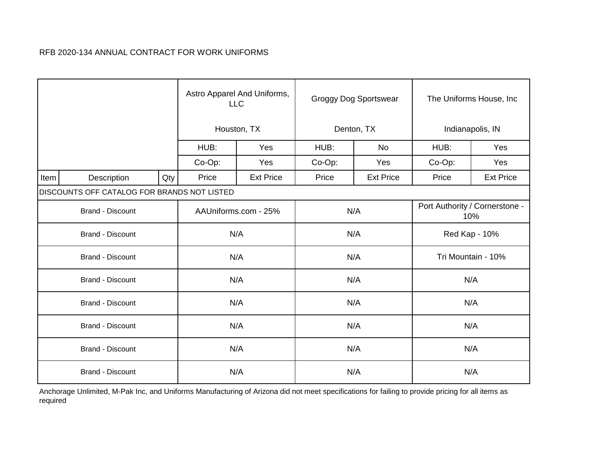|                         |                                             |     |        | Astro Apparel And Uniforms,<br><b>LLC</b> |        | <b>Groggy Dog Sportswear</b> | The Uniforms House, Inc.              |                  |  |  |
|-------------------------|---------------------------------------------|-----|--------|-------------------------------------------|--------|------------------------------|---------------------------------------|------------------|--|--|
|                         |                                             |     |        | Houston, TX                               |        | Denton, TX                   |                                       | Indianapolis, IN |  |  |
|                         |                                             |     | HUB:   | Yes                                       | HUB:   | No                           | HUB:                                  | Yes              |  |  |
|                         |                                             |     | Co-Op: | Yes                                       | Co-Op: | Yes                          | Co-Op:                                | Yes              |  |  |
| Item                    | Description                                 | Qty | Price  | <b>Ext Price</b>                          | Price  | <b>Ext Price</b>             | Price                                 | <b>Ext Price</b> |  |  |
|                         | DISCOUNTS OFF CATALOG FOR BRANDS NOT LISTED |     |        |                                           |        |                              |                                       |                  |  |  |
|                         | <b>Brand - Discount</b>                     |     |        | AAUniforms.com - 25%                      | N/A    |                              | Port Authority / Cornerstone -<br>10% |                  |  |  |
|                         | <b>Brand - Discount</b>                     |     |        | N/A                                       | N/A    |                              |                                       | Red Kap - 10%    |  |  |
|                         | <b>Brand - Discount</b>                     |     |        | N/A                                       | N/A    |                              | Tri Mountain - 10%                    |                  |  |  |
|                         | <b>Brand - Discount</b>                     |     |        | N/A                                       |        | N/A                          | N/A                                   |                  |  |  |
|                         | <b>Brand - Discount</b>                     |     |        | N/A                                       |        | N/A                          | N/A                                   |                  |  |  |
|                         | <b>Brand - Discount</b>                     |     |        | N/A                                       | N/A    |                              | N/A                                   |                  |  |  |
|                         | <b>Brand - Discount</b>                     |     | N/A    | N/A                                       |        | N/A                          |                                       |                  |  |  |
| <b>Brand - Discount</b> |                                             |     |        | N/A                                       | N/A    |                              | N/A                                   |                  |  |  |